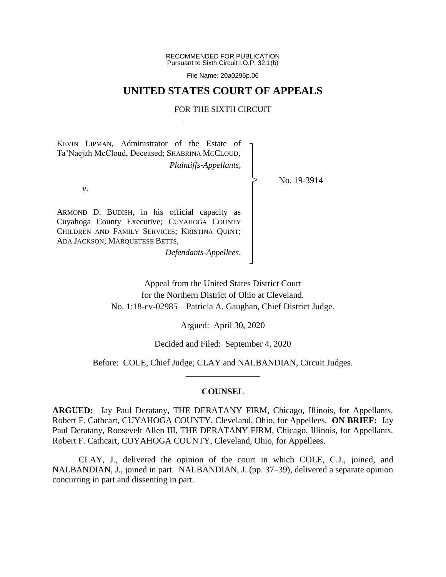RECOMMENDED FOR PUBLICATION Pursuant to Sixth Circuit I.O.P. 32.1(b)

File Name: 20a0296p.06

## **UNITED STATES COURT OF APPEALS**

#### FOR THE SIXTH CIRCUIT

┐ │ │ │ │ │ │ │ │ │ │ │ ┘

|<br>|<br>|

KEVIN LIPMAN, Administrator of the Estate of Ta'Naejah McCloud, Deceased; SHABRINA MCCLOUD, *Plaintiffs-Appellants*,

No. 19-3914

*v*.

ARMOND D. BUDISH, in his official capacity as Cuyahoga County Executive; CUYAHOGA COUNTY CHILDREN AND FAMILY SERVICES; KRISTINA QUINT; ADA JACKSON; MARQUETESE BETTS,

*Defendants-Appellees*.

Appeal from the United States District Court for the Northern District of Ohio at Cleveland. No. 1:18-cv-02985—Patricia A. Gaughan, Chief District Judge.

Argued: April 30, 2020

Decided and Filed: September 4, 2020

Before: COLE, Chief Judge; CLAY and NALBANDIAN, Circuit Judges. \_\_\_\_\_\_\_\_\_\_\_\_\_\_\_\_\_

#### **COUNSEL**

**ARGUED:** Jay Paul Deratany, THE DERATANY FIRM, Chicago, Illinois, for Appellants. Robert F. Cathcart, CUYAHOGA COUNTY, Cleveland, Ohio, for Appellees. **ON BRIEF:** Jay Paul Deratany, Roosevelt Allen III, THE DERATANY FIRM, Chicago, Illinois, for Appellants. Robert F. Cathcart, CUYAHOGA COUNTY, Cleveland, Ohio, for Appellees.

CLAY, J., delivered the opinion of the court in which COLE, C.J., joined, and NALBANDIAN, J., joined in part. NALBANDIAN, J. (pp. 37–39), delivered a separate opinion concurring in part and dissenting in part.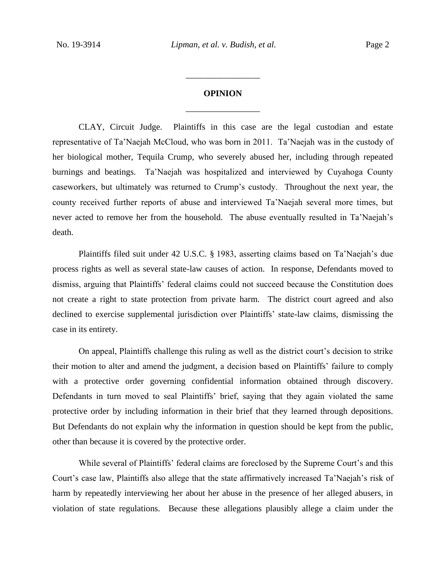# **OPINION** \_\_\_\_\_\_\_\_\_\_\_\_\_\_\_\_\_

\_\_\_\_\_\_\_\_\_\_\_\_\_\_\_\_\_

CLAY, Circuit Judge. Plaintiffs in this case are the legal custodian and estate representative of Ta'Naejah McCloud, who was born in 2011. Ta'Naejah was in the custody of her biological mother, Tequila Crump, who severely abused her, including through repeated burnings and beatings. Ta'Naejah was hospitalized and interviewed by Cuyahoga County caseworkers, but ultimately was returned to Crump's custody. Throughout the next year, the county received further reports of abuse and interviewed Ta'Naejah several more times, but never acted to remove her from the household. The abuse eventually resulted in Ta'Naejah's death.

Plaintiffs filed suit under 42 U.S.C. § 1983, asserting claims based on Ta'Naejah's due process rights as well as several state-law causes of action. In response, Defendants moved to dismiss, arguing that Plaintiffs' federal claims could not succeed because the Constitution does not create a right to state protection from private harm. The district court agreed and also declined to exercise supplemental jurisdiction over Plaintiffs' state-law claims, dismissing the case in its entirety.

On appeal, Plaintiffs challenge this ruling as well as the district court's decision to strike their motion to alter and amend the judgment, a decision based on Plaintiffs' failure to comply with a protective order governing confidential information obtained through discovery. Defendants in turn moved to seal Plaintiffs' brief, saying that they again violated the same protective order by including information in their brief that they learned through depositions. But Defendants do not explain why the information in question should be kept from the public, other than because it is covered by the protective order.

While several of Plaintiffs' federal claims are foreclosed by the Supreme Court's and this Court's case law, Plaintiffs also allege that the state affirmatively increased Ta'Naejah's risk of harm by repeatedly interviewing her about her abuse in the presence of her alleged abusers, in violation of state regulations. Because these allegations plausibly allege a claim under the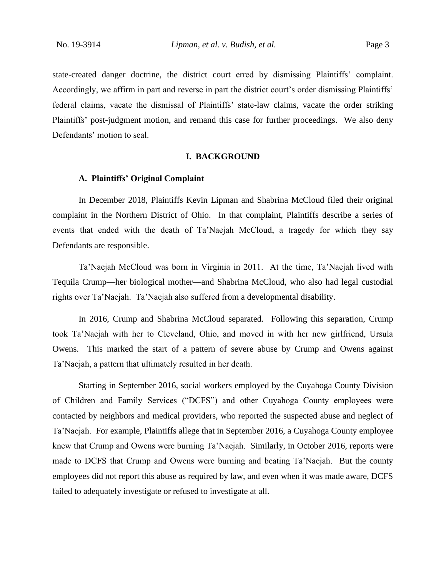state-created danger doctrine, the district court erred by dismissing Plaintiffs' complaint. Accordingly, we affirm in part and reverse in part the district court's order dismissing Plaintiffs' federal claims, vacate the dismissal of Plaintiffs' state-law claims, vacate the order striking Plaintiffs' post-judgment motion, and remand this case for further proceedings. We also deny Defendants' motion to seal.

#### **I. BACKGROUND**

#### **A. Plaintiffs' Original Complaint**

In December 2018, Plaintiffs Kevin Lipman and Shabrina McCloud filed their original complaint in the Northern District of Ohio. In that complaint, Plaintiffs describe a series of events that ended with the death of Ta'Naejah McCloud, a tragedy for which they say Defendants are responsible.

Ta'Naejah McCloud was born in Virginia in 2011. At the time, Ta'Naejah lived with Tequila Crump—her biological mother—and Shabrina McCloud, who also had legal custodial rights over Ta'Naejah. Ta'Naejah also suffered from a developmental disability.

In 2016, Crump and Shabrina McCloud separated. Following this separation, Crump took Ta'Naejah with her to Cleveland, Ohio, and moved in with her new girlfriend, Ursula Owens. This marked the start of a pattern of severe abuse by Crump and Owens against Ta'Naejah, a pattern that ultimately resulted in her death.

Starting in September 2016, social workers employed by the Cuyahoga County Division of Children and Family Services ("DCFS") and other Cuyahoga County employees were contacted by neighbors and medical providers, who reported the suspected abuse and neglect of Ta'Naejah. For example, Plaintiffs allege that in September 2016, a Cuyahoga County employee knew that Crump and Owens were burning Ta'Naejah. Similarly, in October 2016, reports were made to DCFS that Crump and Owens were burning and beating Ta'Naejah. But the county employees did not report this abuse as required by law, and even when it was made aware, DCFS failed to adequately investigate or refused to investigate at all.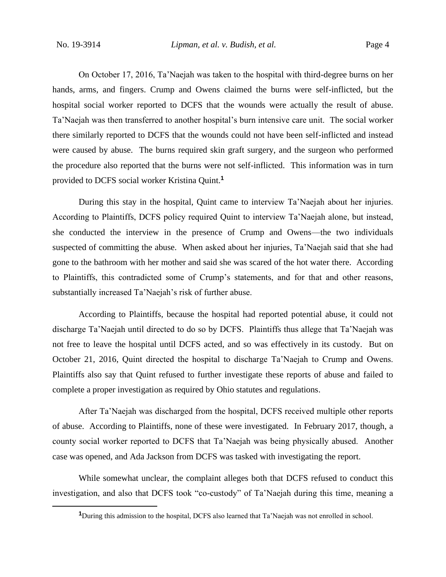On October 17, 2016, Ta'Naejah was taken to the hospital with third-degree burns on her hands, arms, and fingers. Crump and Owens claimed the burns were self-inflicted, but the hospital social worker reported to DCFS that the wounds were actually the result of abuse. Ta'Naejah was then transferred to another hospital's burn intensive care unit. The social worker there similarly reported to DCFS that the wounds could not have been self-inflicted and instead were caused by abuse. The burns required skin graft surgery, and the surgeon who performed the procedure also reported that the burns were not self-inflicted. This information was in turn provided to DCFS social worker Kristina Quint.**<sup>1</sup>**

During this stay in the hospital, Quint came to interview Ta'Naejah about her injuries. According to Plaintiffs, DCFS policy required Quint to interview Ta'Naejah alone, but instead, she conducted the interview in the presence of Crump and Owens—the two individuals suspected of committing the abuse. When asked about her injuries, Ta'Naejah said that she had gone to the bathroom with her mother and said she was scared of the hot water there. According to Plaintiffs, this contradicted some of Crump's statements, and for that and other reasons, substantially increased Ta'Naejah's risk of further abuse.

According to Plaintiffs, because the hospital had reported potential abuse, it could not discharge Ta'Naejah until directed to do so by DCFS. Plaintiffs thus allege that Ta'Naejah was not free to leave the hospital until DCFS acted, and so was effectively in its custody. But on October 21, 2016, Quint directed the hospital to discharge Ta'Naejah to Crump and Owens. Plaintiffs also say that Quint refused to further investigate these reports of abuse and failed to complete a proper investigation as required by Ohio statutes and regulations.

After Ta'Naejah was discharged from the hospital, DCFS received multiple other reports of abuse. According to Plaintiffs, none of these were investigated. In February 2017, though, a county social worker reported to DCFS that Ta'Naejah was being physically abused. Another case was opened, and Ada Jackson from DCFS was tasked with investigating the report.

While somewhat unclear, the complaint alleges both that DCFS refused to conduct this investigation, and also that DCFS took "co-custody" of Ta'Naejah during this time, meaning a

**<sup>1</sup>**During this admission to the hospital, DCFS also learned that Ta'Naejah was not enrolled in school.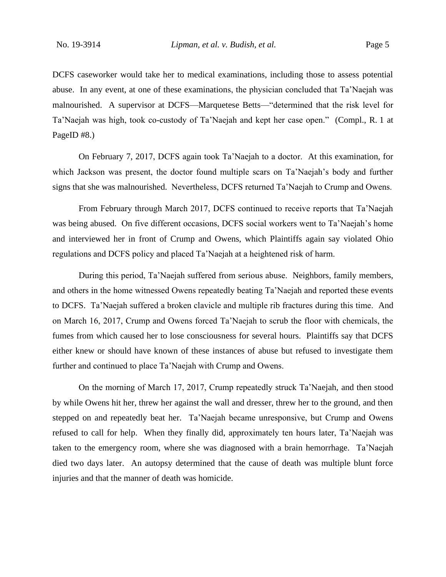DCFS caseworker would take her to medical examinations, including those to assess potential abuse. In any event, at one of these examinations, the physician concluded that Ta'Naejah was malnourished. A supervisor at DCFS—Marquetese Betts—"determined that the risk level for Ta'Naejah was high, took co-custody of Ta'Naejah and kept her case open." (Compl., R. 1 at PageID #8.)

On February 7, 2017, DCFS again took Ta'Naejah to a doctor. At this examination, for which Jackson was present, the doctor found multiple scars on Ta'Naejah's body and further signs that she was malnourished. Nevertheless, DCFS returned Ta'Naejah to Crump and Owens.

From February through March 2017, DCFS continued to receive reports that Ta'Naejah was being abused. On five different occasions, DCFS social workers went to Ta'Naejah's home and interviewed her in front of Crump and Owens, which Plaintiffs again say violated Ohio regulations and DCFS policy and placed Ta'Naejah at a heightened risk of harm.

During this period, Ta'Naejah suffered from serious abuse. Neighbors, family members, and others in the home witnessed Owens repeatedly beating Ta'Naejah and reported these events to DCFS. Ta'Naejah suffered a broken clavicle and multiple rib fractures during this time. And on March 16, 2017, Crump and Owens forced Ta'Naejah to scrub the floor with chemicals, the fumes from which caused her to lose consciousness for several hours. Plaintiffs say that DCFS either knew or should have known of these instances of abuse but refused to investigate them further and continued to place Ta'Naejah with Crump and Owens.

On the morning of March 17, 2017, Crump repeatedly struck Ta'Naejah, and then stood by while Owens hit her, threw her against the wall and dresser, threw her to the ground, and then stepped on and repeatedly beat her. Ta'Naejah became unresponsive, but Crump and Owens refused to call for help. When they finally did, approximately ten hours later, Ta'Naejah was taken to the emergency room, where she was diagnosed with a brain hemorrhage. Ta'Naejah died two days later. An autopsy determined that the cause of death was multiple blunt force injuries and that the manner of death was homicide.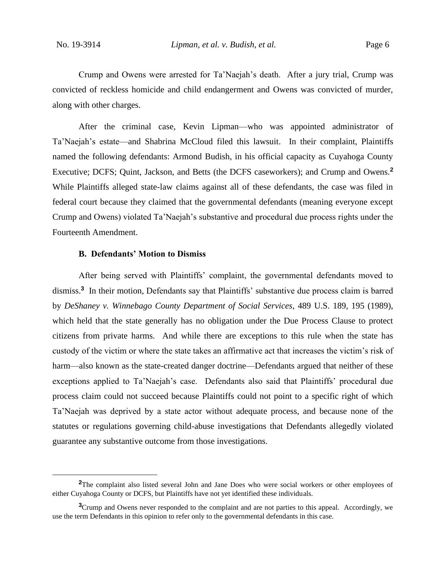Crump and Owens were arrested for Ta'Naejah's death. After a jury trial, Crump was convicted of reckless homicide and child endangerment and Owens was convicted of murder, along with other charges.

After the criminal case, Kevin Lipman—who was appointed administrator of Ta'Naejah's estate—and Shabrina McCloud filed this lawsuit. In their complaint, Plaintiffs named the following defendants: Armond Budish, in his official capacity as Cuyahoga County Executive; DCFS; Quint, Jackson, and Betts (the DCFS caseworkers); and Crump and Owens.**<sup>2</sup>** While Plaintiffs alleged state-law claims against all of these defendants, the case was filed in federal court because they claimed that the governmental defendants (meaning everyone except Crump and Owens) violated Ta'Naejah's substantive and procedural due process rights under the Fourteenth Amendment.

#### **B. Defendants' Motion to Dismiss**

After being served with Plaintiffs' complaint, the governmental defendants moved to dismiss.**<sup>3</sup>** In their motion, Defendants say that Plaintiffs' substantive due process claim is barred by *DeShaney v. Winnebago County Department of Social Services*, 489 U.S. 189, 195 (1989), which held that the state generally has no obligation under the Due Process Clause to protect citizens from private harms. And while there are exceptions to this rule when the state has custody of the victim or where the state takes an affirmative act that increases the victim's risk of harm—also known as the state-created danger doctrine—Defendants argued that neither of these exceptions applied to Ta'Naejah's case. Defendants also said that Plaintiffs' procedural due process claim could not succeed because Plaintiffs could not point to a specific right of which Ta'Naejah was deprived by a state actor without adequate process, and because none of the statutes or regulations governing child-abuse investigations that Defendants allegedly violated guarantee any substantive outcome from those investigations.

<sup>&</sup>lt;sup>2</sup>The complaint also listed several John and Jane Does who were social workers or other employees of either Cuyahoga County or DCFS, but Plaintiffs have not yet identified these individuals.

<sup>&</sup>lt;sup>3</sup>Crump and Owens never responded to the complaint and are not parties to this appeal. Accordingly, we use the term Defendants in this opinion to refer only to the governmental defendants in this case.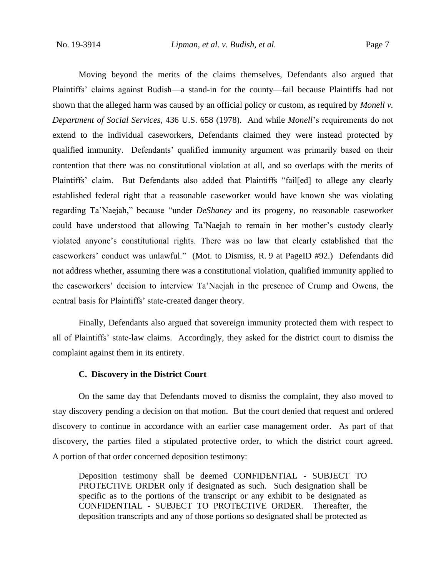Moving beyond the merits of the claims themselves, Defendants also argued that Plaintiffs' claims against Budish—a stand-in for the county—fail because Plaintiffs had not shown that the alleged harm was caused by an official policy or custom, as required by *Monell v. Department of Social Services*, 436 U.S. 658 (1978). And while *Monell*'s requirements do not extend to the individual caseworkers, Defendants claimed they were instead protected by qualified immunity. Defendants' qualified immunity argument was primarily based on their contention that there was no constitutional violation at all, and so overlaps with the merits of Plaintiffs' claim. But Defendants also added that Plaintiffs "fail[ed] to allege any clearly established federal right that a reasonable caseworker would have known she was violating regarding Ta'Naejah," because "under *DeShaney* and its progeny, no reasonable caseworker could have understood that allowing Ta'Naejah to remain in her mother's custody clearly violated anyone's constitutional rights. There was no law that clearly established that the caseworkers' conduct was unlawful." (Mot. to Dismiss, R. 9 at PageID #92.) Defendants did not address whether, assuming there was a constitutional violation, qualified immunity applied to the caseworkers' decision to interview Ta'Naejah in the presence of Crump and Owens, the central basis for Plaintiffs' state-created danger theory.

Finally, Defendants also argued that sovereign immunity protected them with respect to all of Plaintiffs' state-law claims. Accordingly, they asked for the district court to dismiss the complaint against them in its entirety.

### **C. Discovery in the District Court**

On the same day that Defendants moved to dismiss the complaint, they also moved to stay discovery pending a decision on that motion. But the court denied that request and ordered discovery to continue in accordance with an earlier case management order. As part of that discovery, the parties filed a stipulated protective order, to which the district court agreed. A portion of that order concerned deposition testimony:

Deposition testimony shall be deemed CONFIDENTIAL - SUBJECT TO PROTECTIVE ORDER only if designated as such. Such designation shall be specific as to the portions of the transcript or any exhibit to be designated as CONFIDENTIAL - SUBJECT TO PROTECTIVE ORDER. Thereafter, the deposition transcripts and any of those portions so designated shall be protected as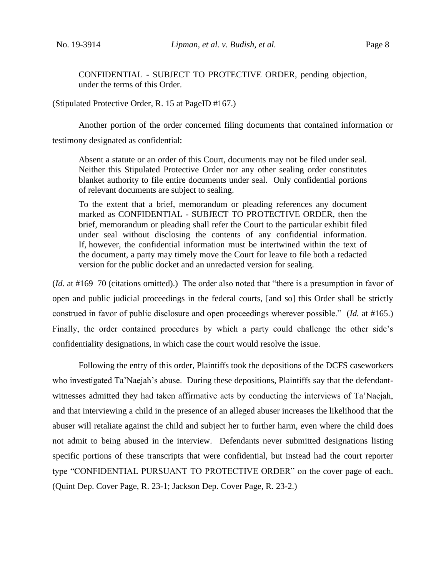CONFIDENTIAL - SUBJECT TO PROTECTIVE ORDER, pending objection, under the terms of this Order.

#### (Stipulated Protective Order, R. 15 at PageID #167.)

Another portion of the order concerned filing documents that contained information or testimony designated as confidential:

Absent a statute or an order of this Court, documents may not be filed under seal. Neither this Stipulated Protective Order nor any other sealing order constitutes blanket authority to file entire documents under seal. Only confidential portions of relevant documents are subject to sealing.

To the extent that a brief, memorandum or pleading references any document marked as CONFIDENTIAL - SUBJECT TO PROTECTIVE ORDER, then the brief, memorandum or pleading shall refer the Court to the particular exhibit filed under seal without disclosing the contents of any confidential information. If, however, the confidential information must be intertwined within the text of the document, a party may timely move the Court for leave to file both a redacted version for the public docket and an unredacted version for sealing.

(*Id.* at #169–70 (citations omitted).) The order also noted that "there is a presumption in favor of open and public judicial proceedings in the federal courts, [and so] this Order shall be strictly construed in favor of public disclosure and open proceedings wherever possible." (*Id.* at #165.) Finally, the order contained procedures by which a party could challenge the other side's confidentiality designations, in which case the court would resolve the issue.

Following the entry of this order, Plaintiffs took the depositions of the DCFS caseworkers who investigated Ta'Naejah's abuse. During these depositions, Plaintiffs say that the defendantwitnesses admitted they had taken affirmative acts by conducting the interviews of Ta'Naejah, and that interviewing a child in the presence of an alleged abuser increases the likelihood that the abuser will retaliate against the child and subject her to further harm, even where the child does not admit to being abused in the interview. Defendants never submitted designations listing specific portions of these transcripts that were confidential, but instead had the court reporter type "CONFIDENTIAL PURSUANT TO PROTECTIVE ORDER" on the cover page of each. (Quint Dep. Cover Page, R. 23-1; Jackson Dep. Cover Page, R. 23-2.)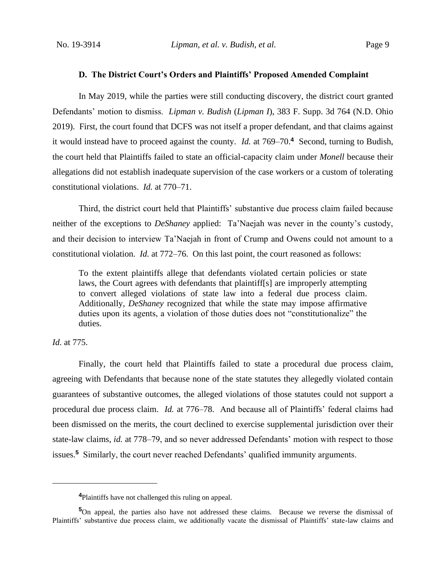#### **D. The District Court's Orders and Plaintiffs' Proposed Amended Complaint**

In May 2019, while the parties were still conducting discovery, the district court granted Defendants' motion to dismiss. *Lipman v. Budish* (*Lipman I*), 383 F. Supp. 3d 764 (N.D. Ohio 2019). First, the court found that DCFS was not itself a proper defendant, and that claims against it would instead have to proceed against the county. *Id.* at 769–70.**<sup>4</sup>** Second, turning to Budish, the court held that Plaintiffs failed to state an official-capacity claim under *Monell* because their allegations did not establish inadequate supervision of the case workers or a custom of tolerating constitutional violations. *Id.* at 770–71.

Third, the district court held that Plaintiffs' substantive due process claim failed because neither of the exceptions to *DeShaney* applied: Ta'Naejah was never in the county's custody, and their decision to interview Ta'Naejah in front of Crump and Owens could not amount to a constitutional violation. *Id.* at 772–76. On this last point, the court reasoned as follows:

To the extent plaintiffs allege that defendants violated certain policies or state laws, the Court agrees with defendants that plaintiff[s] are improperly attempting to convert alleged violations of state law into a federal due process claim. Additionally, *DeShaney* recognized that while the state may impose affirmative duties upon its agents, a violation of those duties does not "constitutionalize" the duties.

## *Id.* at 775.

Finally, the court held that Plaintiffs failed to state a procedural due process claim, agreeing with Defendants that because none of the state statutes they allegedly violated contain guarantees of substantive outcomes, the alleged violations of those statutes could not support a procedural due process claim. *Id.* at 776–78. And because all of Plaintiffs' federal claims had been dismissed on the merits, the court declined to exercise supplemental jurisdiction over their state-law claims, *id.* at 778–79, and so never addressed Defendants' motion with respect to those issues. **<sup>5</sup>** Similarly, the court never reached Defendants' qualified immunity arguments.

**<sup>4</sup>**Plaintiffs have not challenged this ruling on appeal.

**<sup>5</sup>**On appeal, the parties also have not addressed these claims. Because we reverse the dismissal of Plaintiffs' substantive due process claim, we additionally vacate the dismissal of Plaintiffs' state-law claims and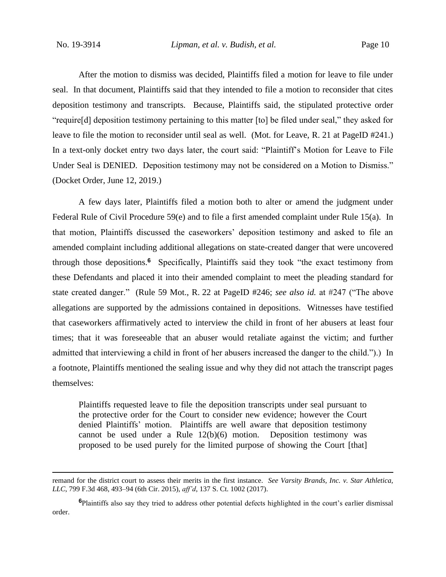After the motion to dismiss was decided, Plaintiffs filed a motion for leave to file under seal. In that document, Plaintiffs said that they intended to file a motion to reconsider that cites deposition testimony and transcripts. Because, Plaintiffs said, the stipulated protective order "require[d] deposition testimony pertaining to this matter [to] be filed under seal," they asked for leave to file the motion to reconsider until seal as well. (Mot. for Leave, R. 21 at PageID #241.) In a text-only docket entry two days later, the court said: "Plaintiff's Motion for Leave to File Under Seal is DENIED. Deposition testimony may not be considered on a Motion to Dismiss." (Docket Order, June 12, 2019.)

A few days later, Plaintiffs filed a motion both to alter or amend the judgment under Federal Rule of Civil Procedure 59(e) and to file a first amended complaint under Rule 15(a). In that motion, Plaintiffs discussed the caseworkers' deposition testimony and asked to file an amended complaint including additional allegations on state-created danger that were uncovered through those depositions.**<sup>6</sup>** Specifically, Plaintiffs said they took "the exact testimony from these Defendants and placed it into their amended complaint to meet the pleading standard for state created danger." (Rule 59 Mot., R. 22 at PageID #246; *see also id.* at #247 ("The above allegations are supported by the admissions contained in depositions. Witnesses have testified that caseworkers affirmatively acted to interview the child in front of her abusers at least four times; that it was foreseeable that an abuser would retaliate against the victim; and further admitted that interviewing a child in front of her abusers increased the danger to the child.").) In a footnote, Plaintiffs mentioned the sealing issue and why they did not attach the transcript pages themselves:

Plaintiffs requested leave to file the deposition transcripts under seal pursuant to the protective order for the Court to consider new evidence; however the Court denied Plaintiffs' motion. Plaintiffs are well aware that deposition testimony cannot be used under a Rule 12(b)(6) motion. Deposition testimony was proposed to be used purely for the limited purpose of showing the Court [that]

**<sup>6</sup>**Plaintiffs also say they tried to address other potential defects highlighted in the court's earlier dismissal order.

remand for the district court to assess their merits in the first instance. *See Varsity Brands, Inc. v. Star Athletica, LLC*, 799 F.3d 468, 493–94 (6th Cir. 2015), *aff'd*, 137 S. Ct. 1002 (2017).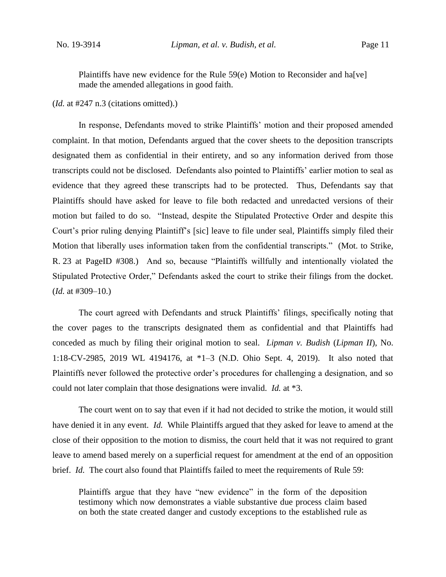Plaintiffs have new evidence for the Rule 59(e) Motion to Reconsider and ha[ve] made the amended allegations in good faith.

(*Id.* at #247 n.3 (citations omitted).)

In response, Defendants moved to strike Plaintiffs' motion and their proposed amended complaint. In that motion, Defendants argued that the cover sheets to the deposition transcripts designated them as confidential in their entirety, and so any information derived from those transcripts could not be disclosed. Defendants also pointed to Plaintiffs' earlier motion to seal as evidence that they agreed these transcripts had to be protected. Thus, Defendants say that Plaintiffs should have asked for leave to file both redacted and unredacted versions of their motion but failed to do so. "Instead, despite the Stipulated Protective Order and despite this Court's prior ruling denying Plaintiff's [sic] leave to file under seal, Plaintiffs simply filed their Motion that liberally uses information taken from the confidential transcripts." (Mot. to Strike, R. 23 at PageID #308.) And so, because "Plaintiffs willfully and intentionally violated the Stipulated Protective Order," Defendants asked the court to strike their filings from the docket. (*Id.* at #309–10.)

The court agreed with Defendants and struck Plaintiffs' filings, specifically noting that the cover pages to the transcripts designated them as confidential and that Plaintiffs had conceded as much by filing their original motion to seal. *Lipman v. Budish* (*Lipman II*), No. 1:18-CV-2985, 2019 WL 4194176, at \*1–3 (N.D. Ohio Sept. 4, 2019). It also noted that Plaintiffs never followed the protective order's procedures for challenging a designation, and so could not later complain that those designations were invalid. *Id.* at \*3.

The court went on to say that even if it had not decided to strike the motion, it would still have denied it in any event. *Id.* While Plaintiffs argued that they asked for leave to amend at the close of their opposition to the motion to dismiss, the court held that it was not required to grant leave to amend based merely on a superficial request for amendment at the end of an opposition brief. *Id.* The court also found that Plaintiffs failed to meet the requirements of Rule 59:

Plaintiffs argue that they have "new evidence" in the form of the deposition testimony which now demonstrates a viable substantive due process claim based on both the state created danger and custody exceptions to the established rule as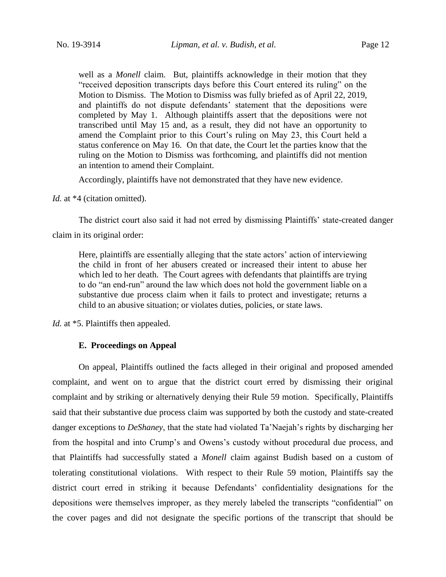well as a *Monell* claim. But, plaintiffs acknowledge in their motion that they "received deposition transcripts days before this Court entered its ruling" on the Motion to Dismiss. The Motion to Dismiss was fully briefed as of April 22, 2019, and plaintiffs do not dispute defendants' statement that the depositions were completed by May 1. Although plaintiffs assert that the depositions were not transcribed until May 15 and, as a result, they did not have an opportunity to amend the Complaint prior to this Court's ruling on May 23, this Court held a status conference on May 16. On that date, the Court let the parties know that the ruling on the Motion to Dismiss was forthcoming, and plaintiffs did not mention an intention to amend their Complaint.

Accordingly, plaintiffs have not demonstrated that they have new evidence.

*Id.* at \*4 (citation omitted).

The district court also said it had not erred by dismissing Plaintiffs' state-created danger claim in its original order:

Here, plaintiffs are essentially alleging that the state actors' action of interviewing the child in front of her abusers created or increased their intent to abuse her which led to her death. The Court agrees with defendants that plaintiffs are trying to do "an end-run" around the law which does not hold the government liable on a substantive due process claim when it fails to protect and investigate; returns a child to an abusive situation; or violates duties, policies, or state laws.

*Id.* at \*5. Plaintiffs then appealed.

#### **E. Proceedings on Appeal**

On appeal, Plaintiffs outlined the facts alleged in their original and proposed amended complaint, and went on to argue that the district court erred by dismissing their original complaint and by striking or alternatively denying their Rule 59 motion. Specifically, Plaintiffs said that their substantive due process claim was supported by both the custody and state-created danger exceptions to *DeShaney*, that the state had violated Ta'Naejah's rights by discharging her from the hospital and into Crump's and Owens's custody without procedural due process, and that Plaintiffs had successfully stated a *Monell* claim against Budish based on a custom of tolerating constitutional violations. With respect to their Rule 59 motion, Plaintiffs say the district court erred in striking it because Defendants' confidentiality designations for the depositions were themselves improper, as they merely labeled the transcripts "confidential" on the cover pages and did not designate the specific portions of the transcript that should be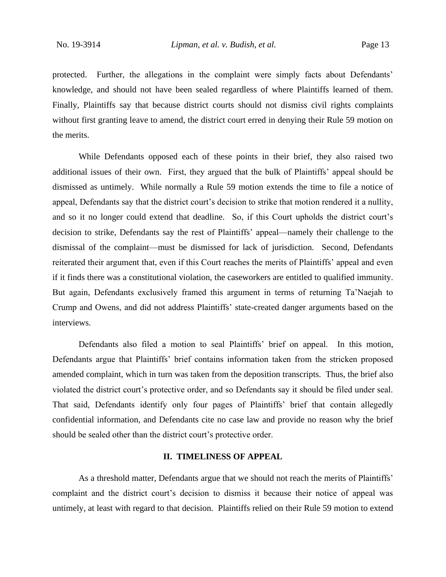protected. Further, the allegations in the complaint were simply facts about Defendants' knowledge, and should not have been sealed regardless of where Plaintiffs learned of them. Finally, Plaintiffs say that because district courts should not dismiss civil rights complaints without first granting leave to amend, the district court erred in denying their Rule 59 motion on the merits.

While Defendants opposed each of these points in their brief, they also raised two additional issues of their own. First, they argued that the bulk of Plaintiffs' appeal should be dismissed as untimely. While normally a Rule 59 motion extends the time to file a notice of appeal, Defendants say that the district court's decision to strike that motion rendered it a nullity, and so it no longer could extend that deadline. So, if this Court upholds the district court's decision to strike, Defendants say the rest of Plaintiffs' appeal—namely their challenge to the dismissal of the complaint—must be dismissed for lack of jurisdiction. Second, Defendants reiterated their argument that, even if this Court reaches the merits of Plaintiffs' appeal and even if it finds there was a constitutional violation, the caseworkers are entitled to qualified immunity. But again, Defendants exclusively framed this argument in terms of returning Ta'Naejah to Crump and Owens, and did not address Plaintiffs' state-created danger arguments based on the interviews.

Defendants also filed a motion to seal Plaintiffs' brief on appeal. In this motion, Defendants argue that Plaintiffs' brief contains information taken from the stricken proposed amended complaint, which in turn was taken from the deposition transcripts. Thus, the brief also violated the district court's protective order, and so Defendants say it should be filed under seal. That said, Defendants identify only four pages of Plaintiffs' brief that contain allegedly confidential information, and Defendants cite no case law and provide no reason why the brief should be sealed other than the district court's protective order.

## **II. TIMELINESS OF APPEAL**

As a threshold matter, Defendants argue that we should not reach the merits of Plaintiffs' complaint and the district court's decision to dismiss it because their notice of appeal was untimely, at least with regard to that decision. Plaintiffs relied on their Rule 59 motion to extend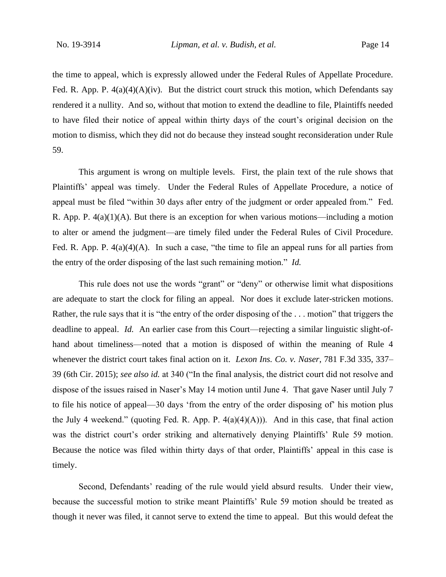the time to appeal, which is expressly allowed under the Federal Rules of Appellate Procedure. Fed. R. App. P.  $4(a)(4)(A)(iv)$ . But the district court struck this motion, which Defendants say rendered it a nullity. And so, without that motion to extend the deadline to file, Plaintiffs needed to have filed their notice of appeal within thirty days of the court's original decision on the motion to dismiss, which they did not do because they instead sought reconsideration under Rule 59.

This argument is wrong on multiple levels. First, the plain text of the rule shows that Plaintiffs' appeal was timely. Under the Federal Rules of Appellate Procedure, a notice of appeal must be filed "within 30 days after entry of the judgment or order appealed from." Fed. R. App. P.  $4(a)(1)(A)$ . But there is an exception for when various motions—including a motion to alter or amend the judgment—are timely filed under the Federal Rules of Civil Procedure. Fed. R. App. P.  $4(a)(4)(A)$ . In such a case, "the time to file an appeal runs for all parties from the entry of the order disposing of the last such remaining motion." *Id.*

This rule does not use the words "grant" or "deny" or otherwise limit what dispositions are adequate to start the clock for filing an appeal. Nor does it exclude later-stricken motions. Rather, the rule says that it is "the entry of the order disposing of the . . . motion" that triggers the deadline to appeal. *Id.* An earlier case from this Court—rejecting a similar linguistic slight-ofhand about timeliness—noted that a motion is disposed of within the meaning of Rule 4 whenever the district court takes final action on it. *Lexon Ins. Co. v. Naser*, 781 F.3d 335, 337– 39 (6th Cir. 2015); *see also id.* at 340 ("In the final analysis, the district court did not resolve and dispose of the issues raised in Naser's May 14 motion until June 4. That gave Naser until July 7 to file his notice of appeal—30 days 'from the entry of the order disposing of' his motion plus the July 4 weekend." (quoting Fed. R. App. P.  $4(a)(4)(A))$ ). And in this case, that final action was the district court's order striking and alternatively denying Plaintiffs' Rule 59 motion. Because the notice was filed within thirty days of that order, Plaintiffs' appeal in this case is timely.

Second, Defendants' reading of the rule would yield absurd results. Under their view, because the successful motion to strike meant Plaintiffs' Rule 59 motion should be treated as though it never was filed, it cannot serve to extend the time to appeal. But this would defeat the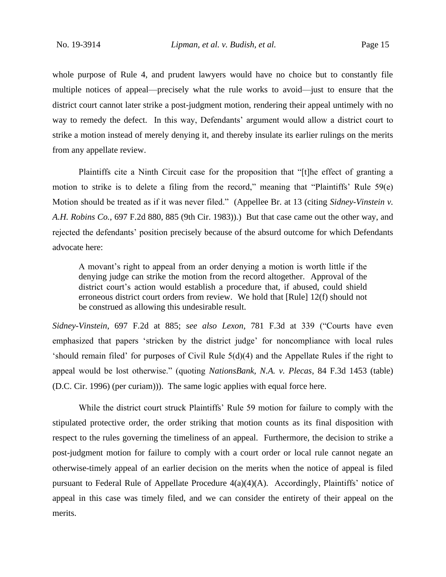whole purpose of Rule 4, and prudent lawyers would have no choice but to constantly file multiple notices of appeal—precisely what the rule works to avoid—just to ensure that the district court cannot later strike a post-judgment motion, rendering their appeal untimely with no way to remedy the defect. In this way, Defendants' argument would allow a district court to strike a motion instead of merely denying it, and thereby insulate its earlier rulings on the merits from any appellate review.

Plaintiffs cite a Ninth Circuit case for the proposition that "[t]he effect of granting a motion to strike is to delete a filing from the record," meaning that "Plaintiffs' Rule 59(e) Motion should be treated as if it was never filed." (Appellee Br. at 13 (citing *Sidney-Vinstein v. A.H. Robins Co.*, 697 F.2d 880, 885 (9th Cir. 1983)).) But that case came out the other way, and rejected the defendants' position precisely because of the absurd outcome for which Defendants advocate here:

A movant's right to appeal from an order denying a motion is worth little if the denying judge can strike the motion from the record altogether. Approval of the district court's action would establish a procedure that, if abused, could shield erroneous district court orders from review. We hold that [Rule] 12(f) should not be construed as allowing this undesirable result.

*Sidney-Vinstein*, 697 F.2d at 885; *see also Lexon*, 781 F.3d at 339 ("Courts have even emphasized that papers 'stricken by the district judge' for noncompliance with local rules 'should remain filed' for purposes of Civil Rule 5(d)(4) and the Appellate Rules if the right to appeal would be lost otherwise." (quoting *NationsBank, N.A. v. Plecas*, 84 F.3d 1453 (table) (D.C. Cir. 1996) (per curiam))). The same logic applies with equal force here.

While the district court struck Plaintiffs' Rule 59 motion for failure to comply with the stipulated protective order, the order striking that motion counts as its final disposition with respect to the rules governing the timeliness of an appeal. Furthermore, the decision to strike a post-judgment motion for failure to comply with a court order or local rule cannot negate an otherwise-timely appeal of an earlier decision on the merits when the notice of appeal is filed pursuant to Federal Rule of Appellate Procedure 4(a)(4)(A). Accordingly, Plaintiffs' notice of appeal in this case was timely filed, and we can consider the entirety of their appeal on the merits.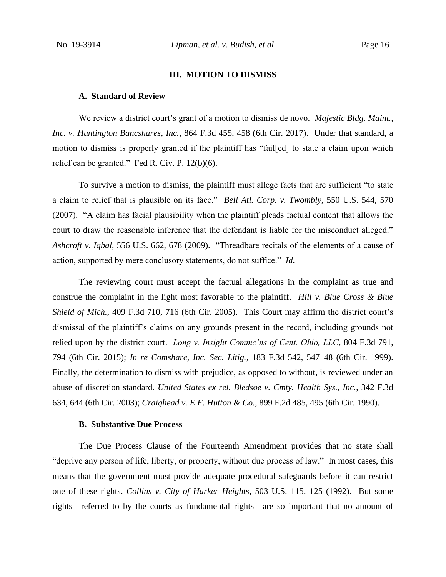#### **III. MOTION TO DISMISS**

#### **A. Standard of Review**

We review a district court's grant of a motion to dismiss de novo. *Majestic Bldg. Maint., Inc. v. Huntington Bancshares, Inc.*, 864 F.3d 455, 458 (6th Cir. 2017). Under that standard, a motion to dismiss is properly granted if the plaintiff has "fail[ed] to state a claim upon which relief can be granted." Fed R. Civ. P. 12(b)(6).

To survive a motion to dismiss, the plaintiff must allege facts that are sufficient "to state a claim to relief that is plausible on its face." *Bell Atl. Corp. v. Twombly*, 550 U.S. 544, 570 (2007). "A claim has facial plausibility when the plaintiff pleads factual content that allows the court to draw the reasonable inference that the defendant is liable for the misconduct alleged." *Ashcroft v. Iqbal*, 556 U.S. 662, 678 (2009). "Threadbare recitals of the elements of a cause of action, supported by mere conclusory statements, do not suffice." *Id.*

The reviewing court must accept the factual allegations in the complaint as true and construe the complaint in the light most favorable to the plaintiff. *Hill v. Blue Cross & Blue Shield of Mich.*, 409 F.3d 710, 716 (6th Cir. 2005). This Court may affirm the district court's dismissal of the plaintiff's claims on any grounds present in the record, including grounds not relied upon by the district court. *Long v. Insight Commc'ns of Cent. Ohio, LLC*, 804 F.3d 791, 794 (6th Cir. 2015); *In re Comshare, Inc. Sec. Litig.*, 183 F.3d 542, 547–48 (6th Cir. 1999). Finally, the determination to dismiss with prejudice, as opposed to without, is reviewed under an abuse of discretion standard. *United States ex rel. Bledsoe v. Cmty. Health Sys., Inc.*, 342 F.3d 634, 644 (6th Cir. 2003); *Craighead v. E.F. Hutton & Co.*, 899 F.2d 485, 495 (6th Cir. 1990).

#### **B. Substantive Due Process**

The Due Process Clause of the Fourteenth Amendment provides that no state shall "deprive any person of life, liberty, or property, without due process of law." In most cases, this means that the government must provide adequate procedural safeguards before it can restrict one of these rights. *Collins v. City of Harker Heights*, 503 U.S. 115, 125 (1992). But some rights—referred to by the courts as fundamental rights—are so important that no amount of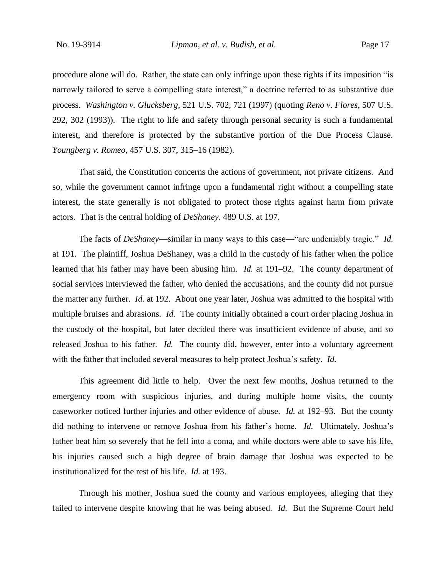procedure alone will do. Rather, the state can only infringe upon these rights if its imposition "is narrowly tailored to serve a compelling state interest," a doctrine referred to as substantive due process. *Washington v. Glucksberg*, 521 U.S. 702, 721 (1997) (quoting *Reno v. Flores*, 507 U.S. 292, 302 (1993)). The right to life and safety through personal security is such a fundamental interest, and therefore is protected by the substantive portion of the Due Process Clause. *Youngberg v. Romeo*, 457 U.S. 307, 315–16 (1982).

That said, the Constitution concerns the actions of government, not private citizens. And so, while the government cannot infringe upon a fundamental right without a compelling state interest, the state generally is not obligated to protect those rights against harm from private actors. That is the central holding of *DeShaney*. 489 U.S. at 197.

The facts of *DeShaney*—similar in many ways to this case—"are undeniably tragic." *Id.* at 191. The plaintiff, Joshua DeShaney, was a child in the custody of his father when the police learned that his father may have been abusing him. *Id.* at 191–92. The county department of social services interviewed the father, who denied the accusations, and the county did not pursue the matter any further. *Id.* at 192. About one year later, Joshua was admitted to the hospital with multiple bruises and abrasions. *Id.* The county initially obtained a court order placing Joshua in the custody of the hospital, but later decided there was insufficient evidence of abuse, and so released Joshua to his father. *Id.* The county did, however, enter into a voluntary agreement with the father that included several measures to help protect Joshua's safety. *Id.*

This agreement did little to help. Over the next few months, Joshua returned to the emergency room with suspicious injuries, and during multiple home visits, the county caseworker noticed further injuries and other evidence of abuse. *Id.* at 192–93. But the county did nothing to intervene or remove Joshua from his father's home. *Id.* Ultimately, Joshua's father beat him so severely that he fell into a coma, and while doctors were able to save his life, his injuries caused such a high degree of brain damage that Joshua was expected to be institutionalized for the rest of his life. *Id.* at 193.

Through his mother, Joshua sued the county and various employees, alleging that they failed to intervene despite knowing that he was being abused. *Id.* But the Supreme Court held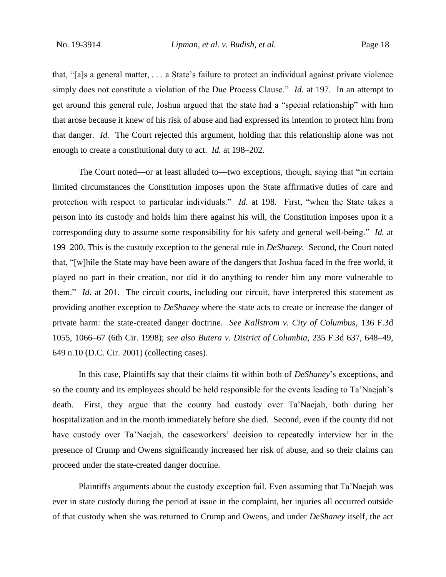that, "[a]s a general matter, . . . a State's failure to protect an individual against private violence simply does not constitute a violation of the Due Process Clause." *Id.* at 197. In an attempt to get around this general rule, Joshua argued that the state had a "special relationship" with him that arose because it knew of his risk of abuse and had expressed its intention to protect him from that danger. *Id.* The Court rejected this argument, holding that this relationship alone was not enough to create a constitutional duty to act. *Id.* at 198–202.

The Court noted—or at least alluded to—two exceptions, though, saying that "in certain limited circumstances the Constitution imposes upon the State affirmative duties of care and protection with respect to particular individuals." *Id.* at 198. First, "when the State takes a person into its custody and holds him there against his will, the Constitution imposes upon it a corresponding duty to assume some responsibility for his safety and general well-being." *Id.* at 199–200. This is the custody exception to the general rule in *DeShaney*. Second, the Court noted that, "[w]hile the State may have been aware of the dangers that Joshua faced in the free world, it played no part in their creation, nor did it do anything to render him any more vulnerable to them." *Id.* at 201. The circuit courts, including our circuit, have interpreted this statement as providing another exception to *DeShaney* where the state acts to create or increase the danger of private harm: the state-created danger doctrine. *See Kallstrom v. City of Columbus*, 136 F.3d 1055, 1066–67 (6th Cir. 1998); *see also Butera v. District of Columbia*, 235 F.3d 637, 648–49, 649 n.10 (D.C. Cir. 2001) (collecting cases).

In this case, Plaintiffs say that their claims fit within both of *DeShaney*'s exceptions, and so the county and its employees should be held responsible for the events leading to Ta'Naejah's death. First, they argue that the county had custody over Ta'Naejah, both during her hospitalization and in the month immediately before she died. Second, even if the county did not have custody over Ta'Naejah, the caseworkers' decision to repeatedly interview her in the presence of Crump and Owens significantly increased her risk of abuse, and so their claims can proceed under the state-created danger doctrine.

Plaintiffs arguments about the custody exception fail. Even assuming that Ta'Naejah was ever in state custody during the period at issue in the complaint, her injuries all occurred outside of that custody when she was returned to Crump and Owens, and under *DeShaney* itself, the act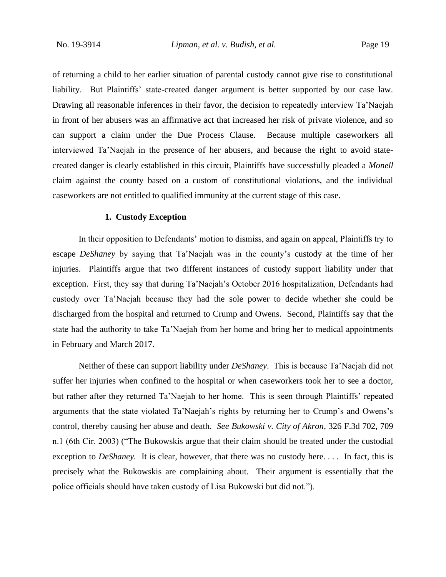of returning a child to her earlier situation of parental custody cannot give rise to constitutional liability. But Plaintiffs' state-created danger argument is better supported by our case law. Drawing all reasonable inferences in their favor, the decision to repeatedly interview Ta'Naejah in front of her abusers was an affirmative act that increased her risk of private violence, and so can support a claim under the Due Process Clause. Because multiple caseworkers all interviewed Ta'Naejah in the presence of her abusers, and because the right to avoid statecreated danger is clearly established in this circuit, Plaintiffs have successfully pleaded a *Monell* claim against the county based on a custom of constitutional violations, and the individual caseworkers are not entitled to qualified immunity at the current stage of this case.

## **1. Custody Exception**

In their opposition to Defendants' motion to dismiss, and again on appeal, Plaintiffs try to escape *DeShaney* by saying that Ta'Naejah was in the county's custody at the time of her injuries. Plaintiffs argue that two different instances of custody support liability under that exception. First, they say that during Ta'Naejah's October 2016 hospitalization, Defendants had custody over Ta'Naejah because they had the sole power to decide whether she could be discharged from the hospital and returned to Crump and Owens. Second, Plaintiffs say that the state had the authority to take Ta'Naejah from her home and bring her to medical appointments in February and March 2017.

Neither of these can support liability under *DeShaney*. This is because Ta'Naejah did not suffer her injuries when confined to the hospital or when caseworkers took her to see a doctor, but rather after they returned Ta'Naejah to her home. This is seen through Plaintiffs' repeated arguments that the state violated Ta'Naejah's rights by returning her to Crump's and Owens's control, thereby causing her abuse and death. *See Bukowski v. City of Akron*, 326 F.3d 702, 709 n.1 (6th Cir. 2003) ("The Bukowskis argue that their claim should be treated under the custodial exception to *DeShaney*. It is clear, however, that there was no custody here.... In fact, this is precisely what the Bukowskis are complaining about. Their argument is essentially that the police officials should have taken custody of Lisa Bukowski but did not.").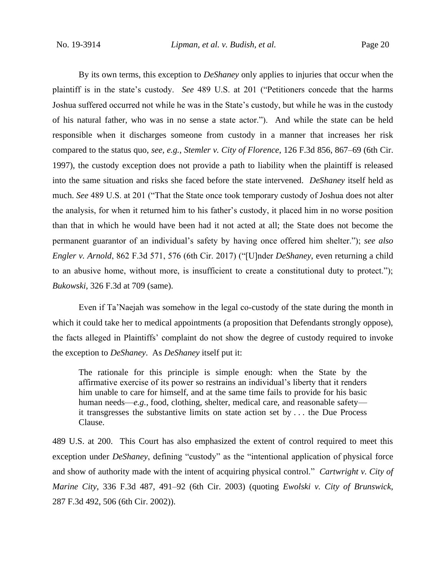By its own terms, this exception to *DeShaney* only applies to injuries that occur when the plaintiff is in the state's custody. *See* 489 U.S. at 201 ("Petitioners concede that the harms Joshua suffered occurred not while he was in the State's custody, but while he was in the custody of his natural father, who was in no sense a state actor."). And while the state can be held responsible when it discharges someone from custody in a manner that increases her risk compared to the status quo, *see, e.g.*, *Stemler v. City of Florence*, 126 F.3d 856, 867–69 (6th Cir. 1997), the custody exception does not provide a path to liability when the plaintiff is released into the same situation and risks she faced before the state intervened. *DeShaney* itself held as much. *See* 489 U.S. at 201 ("That the State once took temporary custody of Joshua does not alter the analysis, for when it returned him to his father's custody, it placed him in no worse position than that in which he would have been had it not acted at all; the State does not become the permanent guarantor of an individual's safety by having once offered him shelter."); *see also Engler v. Arnold*, 862 F.3d 571, 576 (6th Cir. 2017) ("[U]nder *DeShaney*, even returning a child to an abusive home, without more, is insufficient to create a constitutional duty to protect."); *Bukowski*, 326 F.3d at 709 (same).

Even if Ta'Naejah was somehow in the legal co-custody of the state during the month in which it could take her to medical appointments (a proposition that Defendants strongly oppose), the facts alleged in Plaintiffs' complaint do not show the degree of custody required to invoke the exception to *DeShaney*. As *DeShaney* itself put it:

The rationale for this principle is simple enough: when the State by the affirmative exercise of its power so restrains an individual's liberty that it renders him unable to care for himself, and at the same time fails to provide for his basic human needs—*e.g.*, food, clothing, shelter, medical care, and reasonable safety it transgresses the substantive limits on state action set by . . . the Due Process Clause.

489 U.S. at 200. This Court has also emphasized the extent of control required to meet this exception under *DeShaney*, defining "custody" as the "intentional application of physical force and show of authority made with the intent of acquiring physical control." *Cartwright v. City of Marine City*, 336 F.3d 487, 491–92 (6th Cir. 2003) (quoting *Ewolski v. City of Brunswick*, 287 F.3d 492, 506 (6th Cir. 2002)).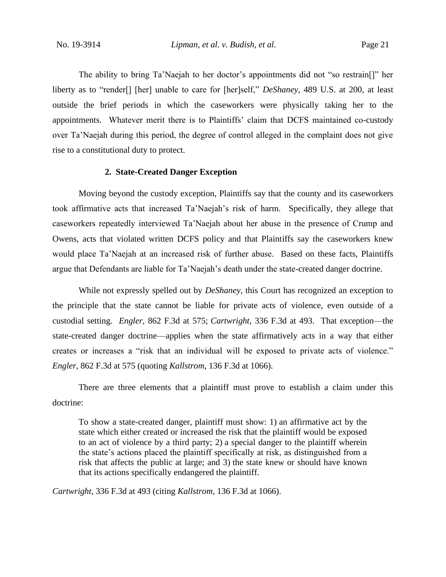The ability to bring Ta'Naejah to her doctor's appointments did not "so restrain[]" her liberty as to "render[] [her] unable to care for [her]self," *DeShaney*, 489 U.S. at 200, at least outside the brief periods in which the caseworkers were physically taking her to the appointments. Whatever merit there is to Plaintiffs' claim that DCFS maintained co-custody over Ta'Naejah during this period, the degree of control alleged in the complaint does not give rise to a constitutional duty to protect.

## **2. State-Created Danger Exception**

Moving beyond the custody exception, Plaintiffs say that the county and its caseworkers took affirmative acts that increased Ta'Naejah's risk of harm. Specifically, they allege that caseworkers repeatedly interviewed Ta'Naejah about her abuse in the presence of Crump and Owens, acts that violated written DCFS policy and that Plaintiffs say the caseworkers knew would place Ta'Naejah at an increased risk of further abuse. Based on these facts, Plaintiffs argue that Defendants are liable for Ta'Naejah's death under the state-created danger doctrine.

While not expressly spelled out by *DeShaney*, this Court has recognized an exception to the principle that the state cannot be liable for private acts of violence, even outside of a custodial setting. *Engler*, 862 F.3d at 575; *Cartwright*, 336 F.3d at 493. That exception—the state-created danger doctrine—applies when the state affirmatively acts in a way that either creates or increases a "risk that an individual will be exposed to private acts of violence." *Engler*, 862 F.3d at 575 (quoting *Kallstrom*, 136 F.3d at 1066).

There are three elements that a plaintiff must prove to establish a claim under this doctrine:

To show a state-created danger, plaintiff must show: 1) an affirmative act by the state which either created or increased the risk that the plaintiff would be exposed to an act of violence by a third party; 2) a special danger to the plaintiff wherein the state's actions placed the plaintiff specifically at risk, as distinguished from a risk that affects the public at large; and 3) the state knew or should have known that its actions specifically endangered the plaintiff.

*Cartwright*, 336 F.3d at 493 (citing *Kallstrom*, 136 F.3d at 1066).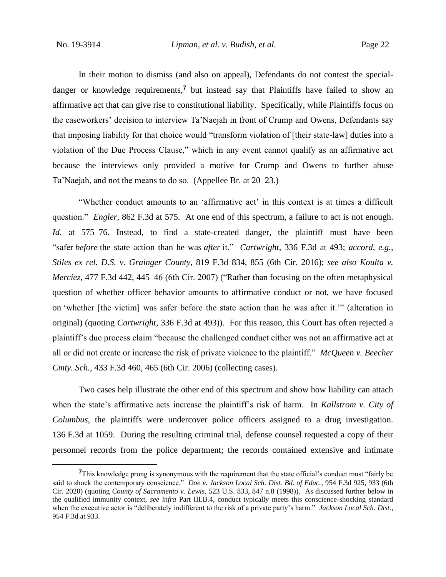In their motion to dismiss (and also on appeal), Defendants do not contest the specialdanger or knowledge requirements,**<sup>7</sup>** but instead say that Plaintiffs have failed to show an affirmative act that can give rise to constitutional liability. Specifically, while Plaintiffs focus on the caseworkers' decision to interview Ta'Naejah in front of Crump and Owens, Defendants say that imposing liability for that choice would "transform violation of [their state-law] duties into a violation of the Due Process Clause," which in any event cannot qualify as an affirmative act because the interviews only provided a motive for Crump and Owens to further abuse Ta'Naejah, and not the means to do so. (Appellee Br. at 20–23.)

"Whether conduct amounts to an 'affirmative act' in this context is at times a difficult question." *Engler*, 862 F.3d at 575. At one end of this spectrum, a failure to act is not enough. *Id.* at 575–76. Instead, to find a state-created danger, the plaintiff must have been "safer *before* the state action than he was *after* it." *Cartwright*, 336 F.3d at 493; *accord, e.g.*, *Stiles ex rel. D.S. v. Grainger County*, 819 F.3d 834, 855 (6th Cir. 2016); *see also Koulta v. Merciez*, 477 F.3d 442, 445–46 (6th Cir. 2007) ("Rather than focusing on the often metaphysical question of whether officer behavior amounts to affirmative conduct or not, we have focused on 'whether [the victim] was safer before the state action than he was after it.'" (alteration in original) (quoting *Cartwright*, 336 F.3d at 493)). For this reason, this Court has often rejected a plaintiff's due process claim "because the challenged conduct either was not an affirmative act at all or did not create or increase the risk of private violence to the plaintiff." *McQueen v. Beecher Cmty. Sch.*, 433 F.3d 460, 465 (6th Cir. 2006) (collecting cases).

Two cases help illustrate the other end of this spectrum and show how liability can attach when the state's affirmative acts increase the plaintiff's risk of harm. In *Kallstrom v. City of Columbus*, the plaintiffs were undercover police officers assigned to a drug investigation. 136 F.3d at 1059. During the resulting criminal trial, defense counsel requested a copy of their personnel records from the police department; the records contained extensive and intimate

**<sup>7</sup>**This knowledge prong is synonymous with the requirement that the state official's conduct must "fairly be said to shock the contemporary conscience." *Doe v. Jackson Local Sch. Dist. Bd. of Educ.*, 954 F.3d 925, 933 (6th Cir. 2020) (quoting *County of Sacramento v. Lewis*, 523 U.S. 833, 847 n.8 (1998)). As discussed further below in the qualified immunity context, *see infra* Part III.B.4, conduct typically meets this conscience-shocking standard when the executive actor is "deliberately indifferent to the risk of a private party's harm." *Jackson Local Sch. Dist.*, 954 F.3d at 933.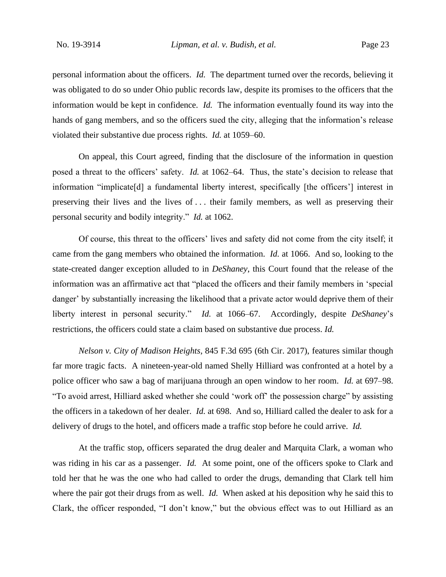personal information about the officers. *Id.* The department turned over the records, believing it was obligated to do so under Ohio public records law, despite its promises to the officers that the information would be kept in confidence. *Id.* The information eventually found its way into the hands of gang members, and so the officers sued the city, alleging that the information's release violated their substantive due process rights. *Id.* at 1059–60.

On appeal, this Court agreed, finding that the disclosure of the information in question posed a threat to the officers' safety. *Id.* at 1062–64. Thus, the state's decision to release that information "implicate[d] a fundamental liberty interest, specifically [the officers'] interest in preserving their lives and the lives of . . . their family members, as well as preserving their personal security and bodily integrity." *Id.* at 1062.

Of course, this threat to the officers' lives and safety did not come from the city itself; it came from the gang members who obtained the information. *Id.* at 1066. And so, looking to the state-created danger exception alluded to in *DeShaney*, this Court found that the release of the information was an affirmative act that "placed the officers and their family members in 'special danger' by substantially increasing the likelihood that a private actor would deprive them of their liberty interest in personal security." *Id.* at 1066–67. Accordingly, despite *DeShaney*'s restrictions, the officers could state a claim based on substantive due process. *Id.*

*Nelson v. City of Madison Heights*, 845 F.3d 695 (6th Cir. 2017), features similar though far more tragic facts. A nineteen-year-old named Shelly Hilliard was confronted at a hotel by a police officer who saw a bag of marijuana through an open window to her room. *Id.* at 697–98. "To avoid arrest, Hilliard asked whether she could 'work off' the possession charge" by assisting the officers in a takedown of her dealer. *Id.* at 698. And so, Hilliard called the dealer to ask for a delivery of drugs to the hotel, and officers made a traffic stop before he could arrive. *Id.*

At the traffic stop, officers separated the drug dealer and Marquita Clark, a woman who was riding in his car as a passenger. *Id.* At some point, one of the officers spoke to Clark and told her that he was the one who had called to order the drugs, demanding that Clark tell him where the pair got their drugs from as well. *Id.* When asked at his deposition why he said this to Clark, the officer responded, "I don't know," but the obvious effect was to out Hilliard as an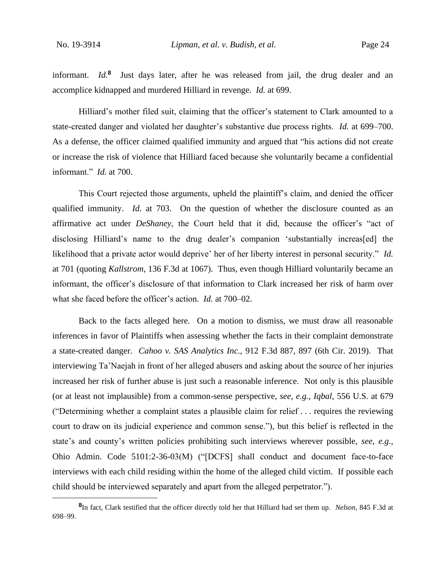informant. *Id.***<sup>8</sup>** Just days later, after he was released from jail, the drug dealer and an accomplice kidnapped and murdered Hilliard in revenge. *Id.* at 699.

Hilliard's mother filed suit, claiming that the officer's statement to Clark amounted to a state-created danger and violated her daughter's substantive due process rights. *Id.* at 699–700. As a defense, the officer claimed qualified immunity and argued that "his actions did not create or increase the risk of violence that Hilliard faced because she voluntarily became a confidential informant." *Id.* at 700.

This Court rejected those arguments, upheld the plaintiff's claim, and denied the officer qualified immunity. *Id.* at 703. On the question of whether the disclosure counted as an affirmative act under *DeShaney*, the Court held that it did, because the officer's "act of disclosing Hilliard's name to the drug dealer's companion 'substantially increas[ed] the likelihood that a private actor would deprive' her of her liberty interest in personal security." *Id.* at 701 (quoting *Kallstrom*, 136 F.3d at 1067). Thus, even though Hilliard voluntarily became an informant, the officer's disclosure of that information to Clark increased her risk of harm over what she faced before the officer's action. *Id.* at 700–02.

Back to the facts alleged here. On a motion to dismiss, we must draw all reasonable inferences in favor of Plaintiffs when assessing whether the facts in their complaint demonstrate a state-created danger. *Cahoo v. SAS Analytics Inc.*, 912 F.3d 887, 897 (6th Cir. 2019). That interviewing Ta'Naejah in front of her alleged abusers and asking about the source of her injuries increased her risk of further abuse is just such a reasonable inference. Not only is this plausible (or at least not implausible) from a common-sense perspective, *see, e.g.*, *Iqbal*, 556 U.S. at 679 ("Determining whether a complaint states a plausible claim for relief . . . requires the reviewing court to draw on its judicial experience and common sense."), but this belief is reflected in the state's and county's written policies prohibiting such interviews wherever possible, *see, e.g.*, Ohio Admin. Code 5101:2-36-03(M) ("[DCFS] shall conduct and document face-to-face interviews with each child residing within the home of the alleged child victim. If possible each child should be interviewed separately and apart from the alleged perpetrator.").

**<sup>8</sup>** In fact, Clark testified that the officer directly told her that Hilliard had set them up. *Nelson*, 845 F.3d at 698–99.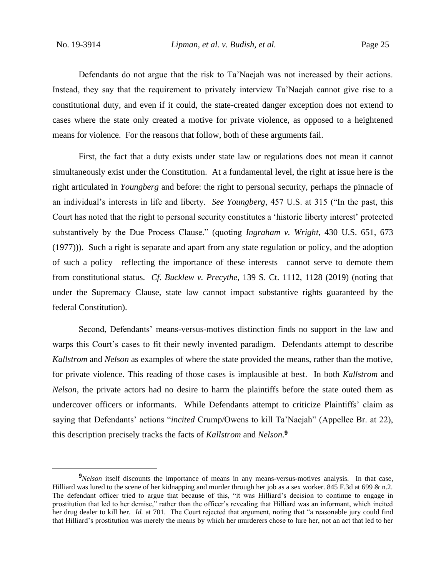Defendants do not argue that the risk to Ta'Naejah was not increased by their actions. Instead, they say that the requirement to privately interview Ta'Naejah cannot give rise to a constitutional duty, and even if it could, the state-created danger exception does not extend to cases where the state only created a motive for private violence, as opposed to a heightened means for violence. For the reasons that follow, both of these arguments fail.

First, the fact that a duty exists under state law or regulations does not mean it cannot simultaneously exist under the Constitution. At a fundamental level, the right at issue here is the right articulated in *Youngberg* and before: the right to personal security, perhaps the pinnacle of an individual's interests in life and liberty. *See Youngberg*, 457 U.S. at 315 ("In the past, this Court has noted that the right to personal security constitutes a 'historic liberty interest' protected substantively by the Due Process Clause." (quoting *Ingraham v. Wright*, 430 U.S. 651, 673 (1977))). Such a right is separate and apart from any state regulation or policy, and the adoption of such a policy—reflecting the importance of these interests—cannot serve to demote them from constitutional status. *Cf. Bucklew v. Precythe*, 139 S. Ct. 1112, 1128 (2019) (noting that under the Supremacy Clause, state law cannot impact substantive rights guaranteed by the federal Constitution).

Second, Defendants' means-versus-motives distinction finds no support in the law and warps this Court's cases to fit their newly invented paradigm. Defendants attempt to describe *Kallstrom* and *Nelson* as examples of where the state provided the means, rather than the motive, for private violence. This reading of those cases is implausible at best. In both *Kallstrom* and *Nelson*, the private actors had no desire to harm the plaintiffs before the state outed them as undercover officers or informants. While Defendants attempt to criticize Plaintiffs' claim as saying that Defendants' actions "*incited* Crump/Owens to kill Ta'Naejah" (Appellee Br. at 22), this description precisely tracks the facts of *Kallstrom* and *Nelson*. **9**

**<sup>9</sup>***Nelson* itself discounts the importance of means in any means-versus-motives analysis. In that case, Hilliard was lured to the scene of her kidnapping and murder through her job as a sex worker. 845 F.3d at 699 & n.2. The defendant officer tried to argue that because of this, "it was Hilliard's decision to continue to engage in prostitution that led to her demise," rather than the officer's revealing that Hilliard was an informant, which incited her drug dealer to kill her. *Id.* at 701. The Court rejected that argument, noting that "a reasonable jury could find that Hilliard's prostitution was merely the means by which her murderers chose to lure her, not an act that led to her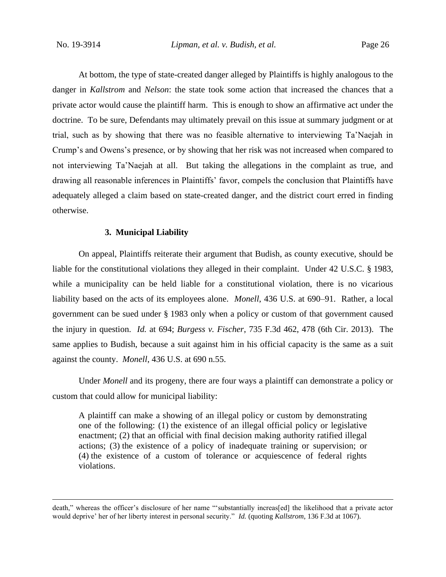At bottom, the type of state-created danger alleged by Plaintiffs is highly analogous to the danger in *Kallstrom* and *Nelson*: the state took some action that increased the chances that a private actor would cause the plaintiff harm. This is enough to show an affirmative act under the doctrine. To be sure, Defendants may ultimately prevail on this issue at summary judgment or at trial, such as by showing that there was no feasible alternative to interviewing Ta'Naejah in Crump's and Owens's presence, or by showing that her risk was not increased when compared to not interviewing Ta'Naejah at all. But taking the allegations in the complaint as true, and drawing all reasonable inferences in Plaintiffs' favor, compels the conclusion that Plaintiffs have adequately alleged a claim based on state-created danger, and the district court erred in finding otherwise.

#### **3. Municipal Liability**

On appeal, Plaintiffs reiterate their argument that Budish, as county executive, should be liable for the constitutional violations they alleged in their complaint. Under 42 U.S.C. § 1983, while a municipality can be held liable for a constitutional violation, there is no vicarious liability based on the acts of its employees alone. *Monell*, 436 U.S. at 690–91. Rather, a local government can be sued under § 1983 only when a policy or custom of that government caused the injury in question. *Id.* at 694; *Burgess v. Fischer*, 735 F.3d 462, 478 (6th Cir. 2013). The same applies to Budish, because a suit against him in his official capacity is the same as a suit against the county. *Monell*, 436 U.S. at 690 n.55.

Under *Monell* and its progeny, there are four ways a plaintiff can demonstrate a policy or custom that could allow for municipal liability:

A plaintiff can make a showing of an illegal policy or custom by demonstrating one of the following: (1) the existence of an illegal official policy or legislative enactment; (2) that an official with final decision making authority ratified illegal actions; (3) the existence of a policy of inadequate training or supervision; or (4) the existence of a custom of tolerance or acquiescence of federal rights violations.

death," whereas the officer's disclosure of her name "'substantially increas[ed] the likelihood that a private actor would deprive' her of her liberty interest in personal security." *Id.* (quoting *Kallstrom*, 136 F.3d at 1067).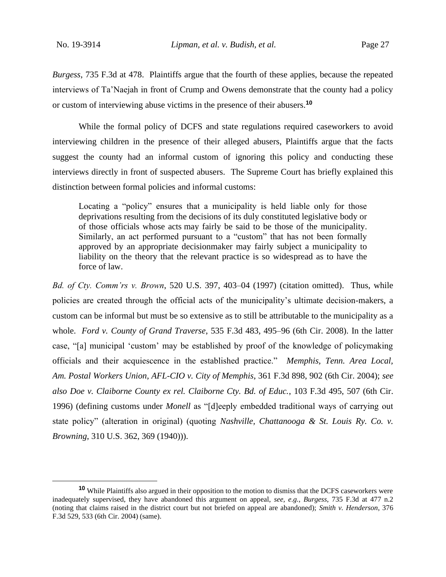*Burgess*, 735 F.3d at 478. Plaintiffs argue that the fourth of these applies, because the repeated interviews of Ta'Naejah in front of Crump and Owens demonstrate that the county had a policy or custom of interviewing abuse victims in the presence of their abusers.**<sup>10</sup>**

While the formal policy of DCFS and state regulations required caseworkers to avoid interviewing children in the presence of their alleged abusers, Plaintiffs argue that the facts suggest the county had an informal custom of ignoring this policy and conducting these interviews directly in front of suspected abusers. The Supreme Court has briefly explained this distinction between formal policies and informal customs:

Locating a "policy" ensures that a municipality is held liable only for those deprivations resulting from the decisions of its duly constituted legislative body or of those officials whose acts may fairly be said to be those of the municipality. Similarly, an act performed pursuant to a "custom" that has not been formally approved by an appropriate decisionmaker may fairly subject a municipality to liability on the theory that the relevant practice is so widespread as to have the force of law.

*Bd. of Cty. Comm'rs v. Brown*, 520 U.S. 397, 403–04 (1997) (citation omitted). Thus, while policies are created through the official acts of the municipality's ultimate decision-makers, a custom can be informal but must be so extensive as to still be attributable to the municipality as a whole. *Ford v. County of Grand Traverse*, 535 F.3d 483, 495–96 (6th Cir. 2008). In the latter case, "[a] municipal 'custom' may be established by proof of the knowledge of policymaking officials and their acquiescence in the established practice." *Memphis, Tenn. Area Local, Am. Postal Workers Union, AFL-CIO v. City of Memphis*, 361 F.3d 898, 902 (6th Cir. 2004); *see also Doe v. Claiborne County ex rel. Claiborne Cty. Bd. of Educ.*, 103 F.3d 495, 507 (6th Cir. 1996) (defining customs under *Monell* as "[d]eeply embedded traditional ways of carrying out state policy" (alteration in original) (quoting *Nashville, Chattanooga & St. Louis Ry. Co. v. Browning*, 310 U.S. 362, 369 (1940))).

**<sup>10</sup>** While Plaintiffs also argued in their opposition to the motion to dismiss that the DCFS caseworkers were inadequately supervised, they have abandoned this argument on appeal, *see, e.g.*, *Burgess*, 735 F.3d at 477 n.2 (noting that claims raised in the district court but not briefed on appeal are abandoned); *Smith v. Henderson*, 376 F.3d 529, 533 (6th Cir. 2004) (same).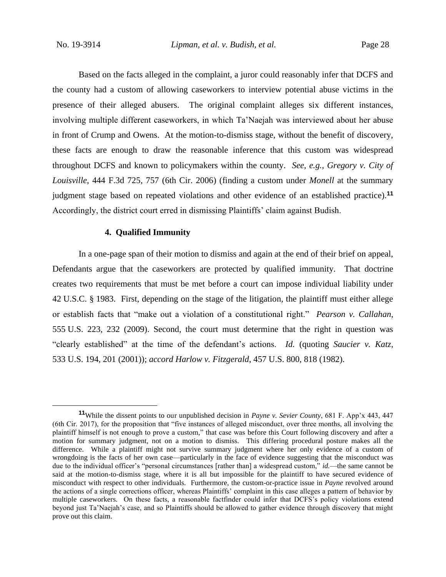Based on the facts alleged in the complaint, a juror could reasonably infer that DCFS and the county had a custom of allowing caseworkers to interview potential abuse victims in the presence of their alleged abusers. The original complaint alleges six different instances, involving multiple different caseworkers, in which Ta'Naejah was interviewed about her abuse in front of Crump and Owens. At the motion-to-dismiss stage, without the benefit of discovery, these facts are enough to draw the reasonable inference that this custom was widespread throughout DCFS and known to policymakers within the county. *See, e.g.*, *Gregory v. City of Louisville*, 444 F.3d 725, 757 (6th Cir. 2006) (finding a custom under *Monell* at the summary judgment stage based on repeated violations and other evidence of an established practice).**<sup>11</sup>** Accordingly, the district court erred in dismissing Plaintiffs' claim against Budish.

#### **4. Qualified Immunity**

In a one-page span of their motion to dismiss and again at the end of their brief on appeal, Defendants argue that the caseworkers are protected by qualified immunity. That doctrine creates two requirements that must be met before a court can impose individual liability under 42 U.S.C. § 1983. First, depending on the stage of the litigation, the plaintiff must either allege or establish facts that "make out a violation of a constitutional right." *Pearson v. Callahan*, 555 U.S. 223, 232 (2009). Second, the court must determine that the right in question was "clearly established" at the time of the defendant's actions. *Id.* (quoting *Saucier v. Katz*, 533 U.S. 194, 201 (2001)); *accord Harlow v. Fitzgerald*, 457 U.S. 800, 818 (1982).

**<sup>11</sup>**While the dissent points to our unpublished decision in *Payne v. Sevier County*, 681 F. App'x 443, 447 (6th Cir. 2017), for the proposition that "five instances of alleged misconduct, over three months, all involving the plaintiff himself is not enough to prove a custom," that case was before this Court following discovery and after a motion for summary judgment, not on a motion to dismiss. This differing procedural posture makes all the difference. While a plaintiff might not survive summary judgment where her only evidence of a custom of wrongdoing is the facts of her own case—particularly in the face of evidence suggesting that the misconduct was due to the individual officer's "personal circumstances [rather than] a widespread custom," *id.*—the same cannot be said at the motion-to-dismiss stage, where it is all but impossible for the plaintiff to have secured evidence of misconduct with respect to other individuals. Furthermore, the custom-or-practice issue in *Payne* revolved around the actions of a single corrections officer, whereas Plaintiffs' complaint in this case alleges a pattern of behavior by multiple caseworkers. On these facts, a reasonable factfinder could infer that DCFS's policy violations extend beyond just Ta'Naejah's case, and so Plaintiffs should be allowed to gather evidence through discovery that might prove out this claim.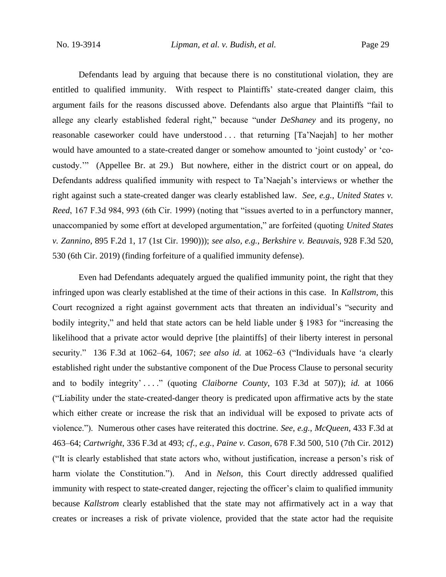Defendants lead by arguing that because there is no constitutional violation, they are entitled to qualified immunity. With respect to Plaintiffs' state-created danger claim, this argument fails for the reasons discussed above. Defendants also argue that Plaintiffs "fail to allege any clearly established federal right," because "under *DeShaney* and its progeny, no reasonable caseworker could have understood . . . that returning [Ta'Naejah] to her mother would have amounted to a state-created danger or somehow amounted to 'joint custody' or 'cocustody.'" (Appellee Br. at 29.) But nowhere, either in the district court or on appeal, do Defendants address qualified immunity with respect to Ta'Naejah's interviews or whether the right against such a state-created danger was clearly established law. *See, e.g.*, *United States v. Reed*, 167 F.3d 984, 993 (6th Cir. 1999) (noting that "issues averted to in a perfunctory manner, unaccompanied by some effort at developed argumentation," are forfeited (quoting *United States v. Zannino*, 895 F.2d 1, 17 (1st Cir. 1990))); *see also, e.g.*, *Berkshire v. Beauvais*, 928 F.3d 520, 530 (6th Cir. 2019) (finding forfeiture of a qualified immunity defense).

Even had Defendants adequately argued the qualified immunity point, the right that they infringed upon was clearly established at the time of their actions in this case. In *Kallstrom*, this Court recognized a right against government acts that threaten an individual's "security and bodily integrity," and held that state actors can be held liable under § 1983 for "increasing the likelihood that a private actor would deprive [the plaintiffs] of their liberty interest in personal security." 136 F.3d at 1062–64, 1067; *see also id.* at 1062–63 ("Individuals have 'a clearly established right under the substantive component of the Due Process Clause to personal security and to bodily integrity' . . . ." (quoting *Claiborne County*, 103 F.3d at 507)); *id.* at 1066 ("Liability under the state-created-danger theory is predicated upon affirmative acts by the state which either create or increase the risk that an individual will be exposed to private acts of violence."). Numerous other cases have reiterated this doctrine. *See, e.g.*, *McQueen*, 433 F.3d at 463–64; *Cartwright*, 336 F.3d at 493; *cf., e.g.*, *Paine v. Cason*, 678 F.3d 500, 510 (7th Cir. 2012) ("It is clearly established that state actors who, without justification, increase a person's risk of harm violate the Constitution."). And in *Nelson*, this Court directly addressed qualified immunity with respect to state-created danger, rejecting the officer's claim to qualified immunity because *Kallstrom* clearly established that the state may not affirmatively act in a way that creates or increases a risk of private violence, provided that the state actor had the requisite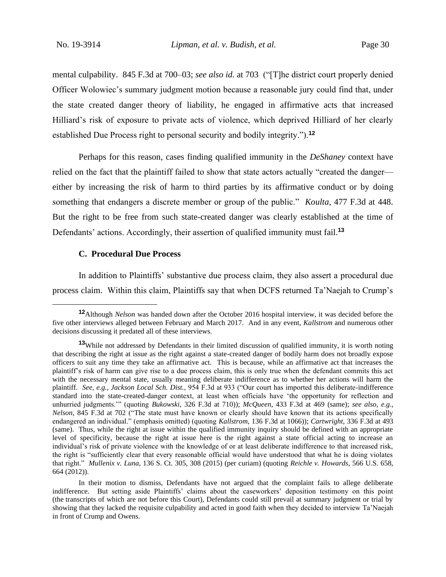mental culpability. 845 F.3d at 700–03; *see also id.* at 703 ("[T]he district court properly denied Officer Wolowiec's summary judgment motion because a reasonable jury could find that, under the state created danger theory of liability, he engaged in affirmative acts that increased Hilliard's risk of exposure to private acts of violence, which deprived Hilliard of her clearly established Due Process right to personal security and bodily integrity.").**<sup>12</sup>**

Perhaps for this reason, cases finding qualified immunity in the *DeShaney* context have relied on the fact that the plaintiff failed to show that state actors actually "created the danger either by increasing the risk of harm to third parties by its affirmative conduct or by doing something that endangers a discrete member or group of the public." *Koulta*, 477 F.3d at 448. But the right to be free from such state-created danger was clearly established at the time of Defendants' actions. Accordingly, their assertion of qualified immunity must fail.**<sup>13</sup>**

## **C. Procedural Due Process**

In addition to Plaintiffs' substantive due process claim, they also assert a procedural due process claim. Within this claim, Plaintiffs say that when DCFS returned Ta'Naejah to Crump's

**<sup>12</sup>**Although *Nelson* was handed down after the October 2016 hospital interview, it was decided before the five other interviews alleged between February and March 2017. And in any event, *Kallstrom* and numerous other decisions discussing it predated all of these interviews.

**<sup>13</sup>**While not addressed by Defendants in their limited discussion of qualified immunity, it is worth noting that describing the right at issue as the right against a state-created danger of bodily harm does not broadly expose officers to suit any time they take an affirmative act. This is because, while an affirmative act that increases the plaintiff's risk of harm can give rise to a due process claim, this is only true when the defendant commits this act with the necessary mental state, usually meaning deliberate indifference as to whether her actions will harm the plaintiff. *See, e.g.*, *Jackson Local Sch. Dist.*, 954 F.3d at 933 ("Our court has imported this deliberate-indifference standard into the state-created-danger context, at least when officials have 'the opportunity for reflection and unhurried judgments.'" (quoting *Bukowski*, 326 F.3d at 710)); *McQueen*, 433 F.3d at 469 (same); *see also, e.g.*, *Nelson*, 845 F.3d at 702 ("The state must have known or clearly should have known that its actions specifically endangered an individual." (emphasis omitted) (quoting *Kallstrom*, 136 F.3d at 1066)); *Cartwright*, 336 F.3d at 493 (same). Thus, while the right at issue within the qualified immunity inquiry should be defined with an appropriate level of specificity, because the right at issue here is the right against a state official acting to increase an individual's risk of private violence with the knowledge of or at least deliberate indifference to that increased risk, the right is "sufficiently clear that every reasonable official would have understood that what he is doing violates that right." *Mullenix v. Luna*, 136 S. Ct. 305, 308 (2015) (per curiam) (quoting *Reichle v. Howards*, 566 U.S. 658, 664 (2012)).

In their motion to dismiss, Defendants have not argued that the complaint fails to allege deliberate indifference. But setting aside Plaintiffs' claims about the caseworkers' deposition testimony on this point (the transcripts of which are not before this Court), Defendants could still prevail at summary judgment or trial by showing that they lacked the requisite culpability and acted in good faith when they decided to interview Ta'Naejah in front of Crump and Owens.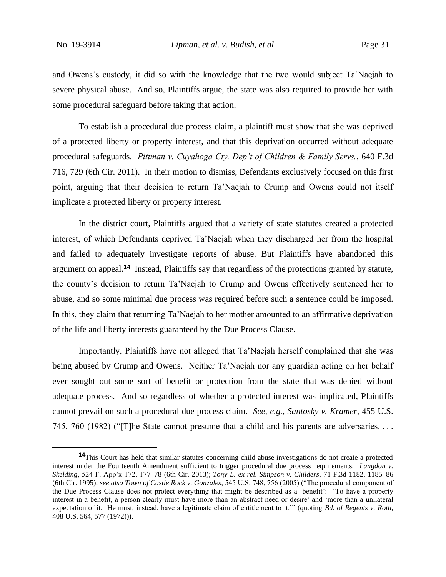and Owens's custody, it did so with the knowledge that the two would subject Ta'Naejah to severe physical abuse. And so, Plaintiffs argue, the state was also required to provide her with some procedural safeguard before taking that action.

To establish a procedural due process claim, a plaintiff must show that she was deprived of a protected liberty or property interest, and that this deprivation occurred without adequate procedural safeguards. *Pittman v. Cuyahoga Cty. Dep't of Children & Family Servs.*, 640 F.3d 716, 729 (6th Cir. 2011). In their motion to dismiss, Defendants exclusively focused on this first point, arguing that their decision to return Ta'Naejah to Crump and Owens could not itself implicate a protected liberty or property interest.

In the district court, Plaintiffs argued that a variety of state statutes created a protected interest, of which Defendants deprived Ta'Naejah when they discharged her from the hospital and failed to adequately investigate reports of abuse. But Plaintiffs have abandoned this argument on appeal.**<sup>14</sup>** Instead, Plaintiffs say that regardless of the protections granted by statute, the county's decision to return Ta'Naejah to Crump and Owens effectively sentenced her to abuse, and so some minimal due process was required before such a sentence could be imposed. In this, they claim that returning Ta'Naejah to her mother amounted to an affirmative deprivation of the life and liberty interests guaranteed by the Due Process Clause.

Importantly, Plaintiffs have not alleged that Ta'Naejah herself complained that she was being abused by Crump and Owens. Neither Ta'Naejah nor any guardian acting on her behalf ever sought out some sort of benefit or protection from the state that was denied without adequate process. And so regardless of whether a protected interest was implicated, Plaintiffs cannot prevail on such a procedural due process claim. *See, e.g.*, *Santosky v. Kramer*, 455 U.S. 745, 760 (1982) ("[T]he State cannot presume that a child and his parents are adversaries. . . .

**<sup>14</sup>**This Court has held that similar statutes concerning child abuse investigations do not create a protected interest under the Fourteenth Amendment sufficient to trigger procedural due process requirements. *Langdon v. Skelding*, 524 F. App'x 172, 177–78 (6th Cir. 2013); *Tony L. ex rel. Simpson v. Childers*, 71 F.3d 1182, 1185–86 (6th Cir. 1995); *see also Town of Castle Rock v. Gonzales*, 545 U.S. 748, 756 (2005) ("The procedural component of the Due Process Clause does not protect everything that might be described as a 'benefit': 'To have a property interest in a benefit, a person clearly must have more than an abstract need or desire' and 'more than a unilateral expectation of it. He must, instead, have a legitimate claim of entitlement to it.'" (quoting *Bd. of Regents v. Roth*, 408 U.S. 564, 577 (1972))).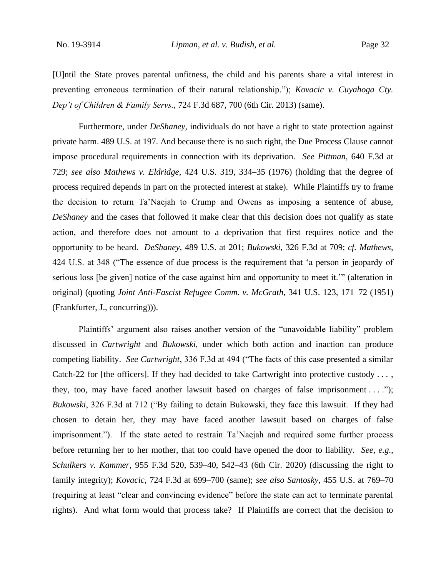[U]ntil the State proves parental unfitness, the child and his parents share a vital interest in preventing erroneous termination of their natural relationship."); *Kovacic v. Cuyahoga Cty. Dep't of Children & Family Servs.*, 724 F.3d 687, 700 (6th Cir. 2013) (same).

Furthermore, under *DeShaney*, individuals do not have a right to state protection against private harm. 489 U.S. at 197. And because there is no such right, the Due Process Clause cannot impose procedural requirements in connection with its deprivation. *See Pittman*, 640 F.3d at 729; *see also Mathews v. Eldridge*, 424 U.S. 319, 334–35 (1976) (holding that the degree of process required depends in part on the protected interest at stake). While Plaintiffs try to frame the decision to return Ta'Naejah to Crump and Owens as imposing a sentence of abuse, *DeShaney* and the cases that followed it make clear that this decision does not qualify as state action, and therefore does not amount to a deprivation that first requires notice and the opportunity to be heard. *DeShaney*, 489 U.S. at 201; *Bukowski*, 326 F.3d at 709; *cf. Mathews*, 424 U.S. at 348 ("The essence of due process is the requirement that 'a person in jeopardy of serious loss [be given] notice of the case against him and opportunity to meet it.'" (alteration in original) (quoting *Joint Anti-Fascist Refugee Comm. v. McGrath*, 341 U.S. 123, 171–72 (1951) (Frankfurter, J., concurring))).

Plaintiffs' argument also raises another version of the "unavoidable liability" problem discussed in *Cartwright* and *Bukowski*, under which both action and inaction can produce competing liability. *See Cartwright*, 336 F.3d at 494 ("The facts of this case presented a similar Catch-22 for [the officers]. If they had decided to take Cartwright into protective custody  $\dots$ , they, too, may have faced another lawsuit based on charges of false imprisonment ...."); *Bukowski*, 326 F.3d at 712 ("By failing to detain Bukowski, they face this lawsuit. If they had chosen to detain her, they may have faced another lawsuit based on charges of false imprisonment."). If the state acted to restrain Ta'Naejah and required some further process before returning her to her mother, that too could have opened the door to liability. *See, e.g.*, *Schulkers v. Kammer*, 955 F.3d 520, 539–40, 542–43 (6th Cir. 2020) (discussing the right to family integrity); *Kovacic*, 724 F.3d at 699–700 (same); *see also Santosky*, 455 U.S. at 769–70 (requiring at least "clear and convincing evidence" before the state can act to terminate parental rights). And what form would that process take? If Plaintiffs are correct that the decision to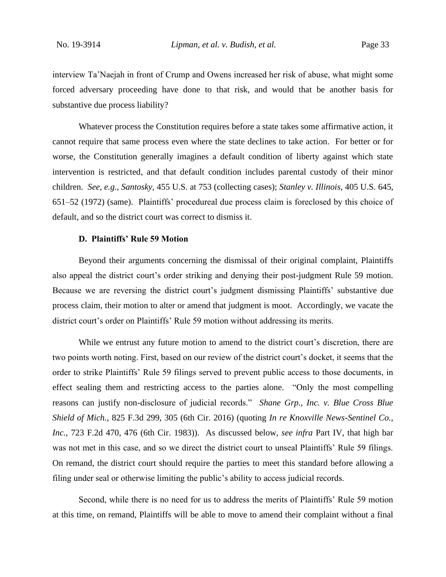interview Ta'Naejah in front of Crump and Owens increased her risk of abuse, what might some forced adversary proceeding have done to that risk, and would that be another basis for substantive due process liability?

Whatever process the Constitution requires before a state takes some affirmative action, it cannot require that same process even where the state declines to take action. For better or for worse, the Constitution generally imagines a default condition of liberty against which state intervention is restricted, and that default condition includes parental custody of their minor children. *See, e.g.*, *Santosky*, 455 U.S. at 753 (collecting cases); *Stanley v. Illinois*, 405 U.S. 645, 651–52 (1972) (same). Plaintiffs' procedureal due process claim is foreclosed by this choice of default, and so the district court was correct to dismiss it.

#### **D. Plaintiffs' Rule 59 Motion**

Beyond their arguments concerning the dismissal of their original complaint, Plaintiffs also appeal the district court's order striking and denying their post-judgment Rule 59 motion. Because we are reversing the district court's judgment dismissing Plaintiffs' substantive due process claim, their motion to alter or amend that judgment is moot. Accordingly, we vacate the district court's order on Plaintiffs' Rule 59 motion without addressing its merits.

While we entrust any future motion to amend to the district court's discretion, there are two points worth noting. First, based on our review of the district court's docket, it seems that the order to strike Plaintiffs' Rule 59 filings served to prevent public access to those documents, in effect sealing them and restricting access to the parties alone. "Only the most compelling reasons can justify non-disclosure of judicial records." *Shane Grp., Inc. v. Blue Cross Blue Shield of Mich.*, 825 F.3d 299, 305 (6th Cir. 2016) (quoting *In re Knoxville News-Sentinel Co., Inc.*, 723 F.2d 470, 476 (6th Cir. 1983)). As discussed below, *see infra* Part IV, that high bar was not met in this case, and so we direct the district court to unseal Plaintiffs' Rule 59 filings. On remand, the district court should require the parties to meet this standard before allowing a filing under seal or otherwise limiting the public's ability to access judicial records.

Second, while there is no need for us to address the merits of Plaintiffs' Rule 59 motion at this time, on remand, Plaintiffs will be able to move to amend their complaint without a final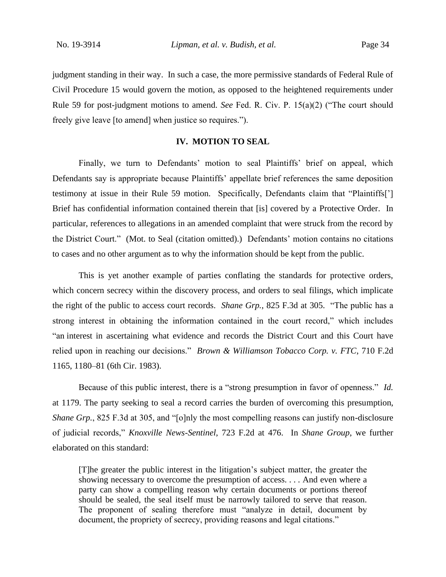judgment standing in their way. In such a case, the more permissive standards of Federal Rule of Civil Procedure 15 would govern the motion, as opposed to the heightened requirements under Rule 59 for post-judgment motions to amend. *See* Fed. R. Civ. P. 15(a)(2) ("The court should freely give leave [to amend] when justice so requires.").

## **IV. MOTION TO SEAL**

Finally, we turn to Defendants' motion to seal Plaintiffs' brief on appeal, which Defendants say is appropriate because Plaintiffs' appellate brief references the same deposition testimony at issue in their Rule 59 motion. Specifically, Defendants claim that "Plaintiffs['] Brief has confidential information contained therein that [is] covered by a Protective Order. In particular, references to allegations in an amended complaint that were struck from the record by the District Court." (Mot. to Seal (citation omitted).) Defendants' motion contains no citations to cases and no other argument as to why the information should be kept from the public.

This is yet another example of parties conflating the standards for protective orders, which concern secrecy within the discovery process, and orders to seal filings, which implicate the right of the public to access court records. *Shane Grp.*, 825 F.3d at 305. "The public has a strong interest in obtaining the information contained in the court record," which includes "an interest in ascertaining what evidence and records the District Court and this Court have relied upon in reaching our decisions." *Brown & Williamson Tobacco Corp. v. FTC*, 710 F.2d 1165, 1180–81 (6th Cir. 1983).

Because of this public interest, there is a "strong presumption in favor of openness." *Id.* at 1179. The party seeking to seal a record carries the burden of overcoming this presumption, *Shane Grp.*, 825 F.3d at 305, and "[o]nly the most compelling reasons can justify non-disclosure of judicial records," *Knoxville News-Sentinel*, 723 F.2d at 476. In *Shane Group*, we further elaborated on this standard:

[T]he greater the public interest in the litigation's subject matter, the greater the showing necessary to overcome the presumption of access. . . . And even where a party can show a compelling reason why certain documents or portions thereof should be sealed, the seal itself must be narrowly tailored to serve that reason. The proponent of sealing therefore must "analyze in detail, document by document, the propriety of secrecy, providing reasons and legal citations."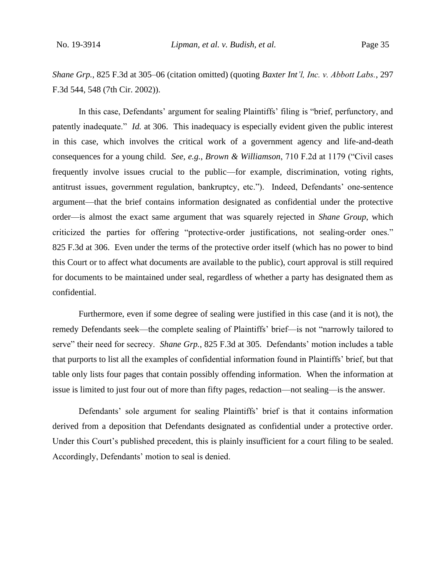*Shane Grp.*, 825 F.3d at 305–06 (citation omitted) (quoting *Baxter Int'l, Inc. v. Abbott Labs.*, 297 F.3d 544, 548 (7th Cir. 2002)).

In this case, Defendants' argument for sealing Plaintiffs' filing is "brief, perfunctory, and patently inadequate." *Id.* at 306. This inadequacy is especially evident given the public interest in this case, which involves the critical work of a government agency and life-and-death consequences for a young child. *See, e.g.*, *Brown & Williamson*, 710 F.2d at 1179 ("Civil cases frequently involve issues crucial to the public—for example, discrimination, voting rights, antitrust issues, government regulation, bankruptcy, etc."). Indeed, Defendants' one-sentence argument—that the brief contains information designated as confidential under the protective order—is almost the exact same argument that was squarely rejected in *Shane Group*, which criticized the parties for offering "protective-order justifications, not sealing-order ones." 825 F.3d at 306. Even under the terms of the protective order itself (which has no power to bind this Court or to affect what documents are available to the public), court approval is still required for documents to be maintained under seal, regardless of whether a party has designated them as confidential.

Furthermore, even if some degree of sealing were justified in this case (and it is not), the remedy Defendants seek—the complete sealing of Plaintiffs' brief—is not "narrowly tailored to serve" their need for secrecy. *Shane Grp.*, 825 F.3d at 305. Defendants' motion includes a table that purports to list all the examples of confidential information found in Plaintiffs' brief, but that table only lists four pages that contain possibly offending information. When the information at issue is limited to just four out of more than fifty pages, redaction—not sealing—is the answer.

Defendants' sole argument for sealing Plaintiffs' brief is that it contains information derived from a deposition that Defendants designated as confidential under a protective order. Under this Court's published precedent, this is plainly insufficient for a court filing to be sealed. Accordingly, Defendants' motion to seal is denied.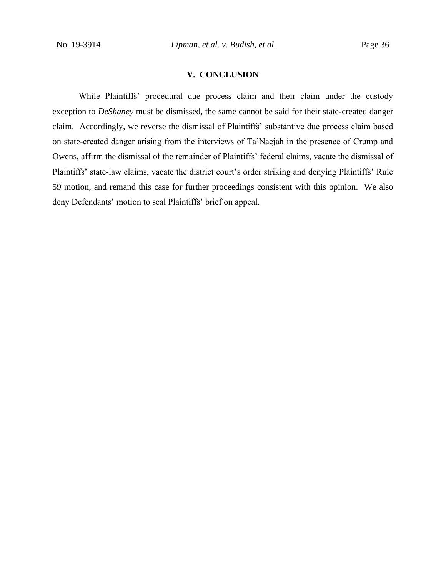## **V. CONCLUSION**

While Plaintiffs' procedural due process claim and their claim under the custody exception to *DeShaney* must be dismissed, the same cannot be said for their state-created danger claim. Accordingly, we reverse the dismissal of Plaintiffs' substantive due process claim based on state-created danger arising from the interviews of Ta'Naejah in the presence of Crump and Owens, affirm the dismissal of the remainder of Plaintiffs' federal claims, vacate the dismissal of Plaintiffs' state-law claims, vacate the district court's order striking and denying Plaintiffs' Rule 59 motion, and remand this case for further proceedings consistent with this opinion. We also deny Defendants' motion to seal Plaintiffs' brief on appeal.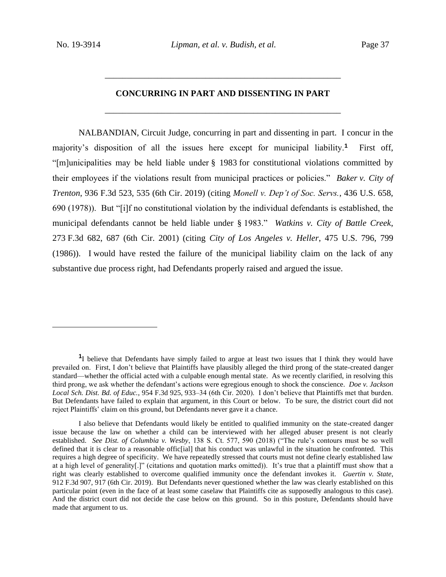## **CONCURRING IN PART AND DISSENTING IN PART**

\_\_\_\_\_\_\_\_\_\_\_\_\_\_\_\_\_\_\_\_\_\_\_\_\_\_\_\_\_\_\_\_\_\_\_\_\_\_\_\_\_\_\_\_\_\_\_\_\_\_\_\_\_\_

\_\_\_\_\_\_\_\_\_\_\_\_\_\_\_\_\_\_\_\_\_\_\_\_\_\_\_\_\_\_\_\_\_\_\_\_\_\_\_\_\_\_\_\_\_\_\_\_\_\_\_\_\_\_

NALBANDIAN, Circuit Judge, concurring in part and dissenting in part. I concur in the majority's disposition of all the issues here except for municipal liability.**<sup>1</sup>** First off, "[m]unicipalities may be held liable under § 1983 for constitutional violations committed by their employees if the violations result from municipal practices or policies." *Baker v. City of Trenton*, 936 F.3d 523, 535 (6th Cir. 2019) (citing *Monell v. Dep't of Soc. Servs.*, 436 U.S. 658, 690 (1978)). But "[i]f no constitutional violation by the individual defendants is established, the municipal defendants cannot be held liable under § 1983." *Watkins v. City of Battle Creek*, 273 F.3d 682, 687 (6th Cir. 2001) (citing *City of Los Angeles v. Heller*, 475 U.S. 796, 799 (1986)). I would have rested the failure of the municipal liability claim on the lack of any substantive due process right, had Defendants properly raised and argued the issue.

<sup>&</sup>lt;sup>1</sup>I believe that Defendants have simply failed to argue at least two issues that I think they would have prevailed on. First, I don't believe that Plaintiffs have plausibly alleged the third prong of the state-created danger standard—whether the official acted with a culpable enough mental state. As we recently clarified, in resolving this third prong, we ask whether the defendant's actions were egregious enough to shock the conscience. *Doe v. Jackson Local Sch. Dist. Bd. of Educ.*, 954 F.3d 925, 933–34 (6th Cir. 2020). I don't believe that Plaintiffs met that burden. But Defendants have failed to explain that argument, in this Court or below. To be sure, the district court did not reject Plaintiffs' claim on this ground, but Defendants never gave it a chance.

I also believe that Defendants would likely be entitled to qualified immunity on the state-created danger issue because the law on whether a child can be interviewed with her alleged abuser present is not clearly established. *See Dist. of Columbia v. Wesby*, 138 S. Ct. 577, 590 (2018) ("The rule's contours must be so well defined that it is clear to a reasonable offic[ial] that his conduct was unlawful in the situation he confronted. This requires a high degree of specificity. We have repeatedly stressed that courts must not define clearly established law at a high level of generality[.]" (citations and quotation marks omitted)). It's true that a plaintiff must show that a right was clearly established to overcome qualified immunity once the defendant invokes it. *Guertin v. State*, 912 F.3d 907, 917 (6th Cir. 2019). But Defendants never questioned whether the law was clearly established on this particular point (even in the face of at least some caselaw that Plaintiffs cite as supposedly analogous to this case). And the district court did not decide the case below on this ground. So in this posture, Defendants should have made that argument to us.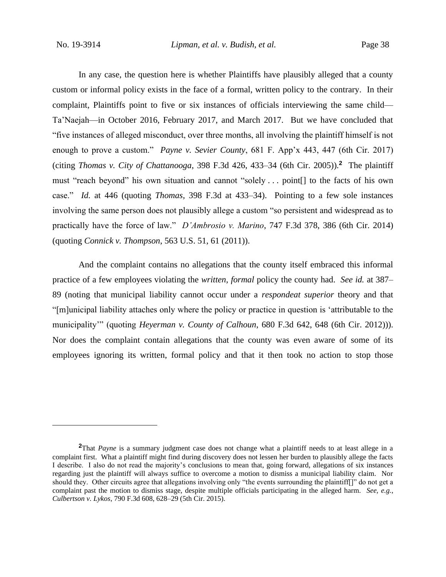In any case, the question here is whether Plaintiffs have plausibly alleged that a county custom or informal policy exists in the face of a formal, written policy to the contrary. In their complaint, Plaintiffs point to five or six instances of officials interviewing the same child— Ta'Naejah—in October 2016, February 2017, and March 2017. But we have concluded that "five instances of alleged misconduct, over three months, all involving the plaintiff himself is not enough to prove a custom." *Payne v. Sevier County*, 681 F. App'x 443, 447 (6th Cir. 2017) (citing *Thomas v. City of Chattanooga*, 398 F.3d 426, 433–34 (6th Cir. 2005)).**<sup>2</sup>** The plaintiff must "reach beyond" his own situation and cannot "solely . . . point[] to the facts of his own case." *Id.* at 446 (quoting *Thomas*, 398 F.3d at 433–34). Pointing to a few sole instances involving the same person does not plausibly allege a custom "so persistent and widespread as to practically have the force of law." *D'Ambrosio v. Marino*, 747 F.3d 378, 386 (6th Cir. 2014) (quoting *Connick v. Thompson*, 563 U.S. 51, 61 (2011)).

And the complaint contains no allegations that the county itself embraced this informal practice of a few employees violating the *written*, *formal* policy the county had. *See id.* at 387– 89 (noting that municipal liability cannot occur under a *respondeat superior* theory and that "[m]unicipal liability attaches only where the policy or practice in question is 'attributable to the municipality'" (quoting *Heyerman v. County of Calhoun*, 680 F.3d 642, 648 (6th Cir. 2012))). Nor does the complaint contain allegations that the county was even aware of some of its employees ignoring its written, formal policy and that it then took no action to stop those

**<sup>2</sup>**That *Payne* is a summary judgment case does not change what a plaintiff needs to at least allege in a complaint first. What a plaintiff might find during discovery does not lessen her burden to plausibly allege the facts I describe. I also do not read the majority's conclusions to mean that, going forward, allegations of six instances regarding just the plaintiff will always suffice to overcome a motion to dismiss a municipal liability claim. Nor should they. Other circuits agree that allegations involving only "the events surrounding the plaintiff[]" do not get a complaint past the motion to dismiss stage, despite multiple officials participating in the alleged harm. *See, e.g.*, *Culbertson v. Lykos*, 790 F.3d 608, 628–29 (5th Cir. 2015).